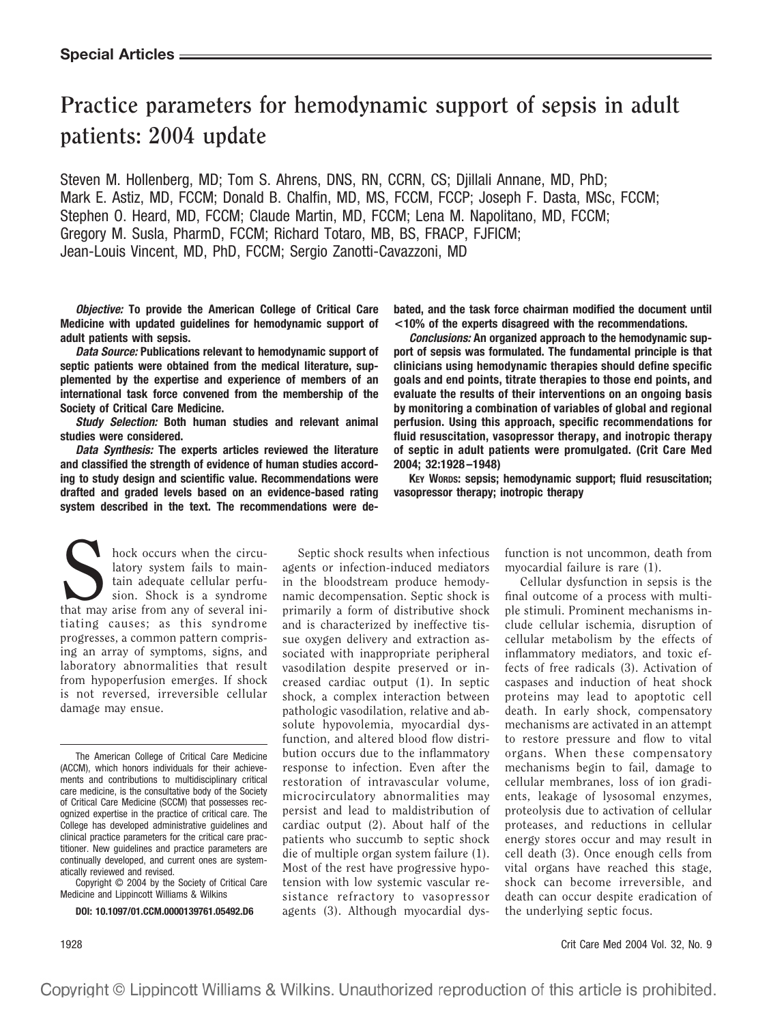# **Practice parameters for hemodynamic support of sepsis in adult patients: 2004 update**

Steven M. Hollenberg, MD; Tom S. Ahrens, DNS, RN, CCRN, CS; Djillali Annane, MD, PhD; Mark E. Astiz, MD, FCCM; Donald B. Chalfin, MD, MS, FCCM, FCCP; Joseph F. Dasta, MSc, FCCM; Stephen O. Heard, MD, FCCM; Claude Martin, MD, FCCM; Lena M. Napolitano, MD, FCCM; Gregory M. Susla, PharmD, FCCM; Richard Totaro, MB, BS, FRACP, FJFICM; Jean-Louis Vincent, MD, PhD, FCCM; Sergio Zanotti-Cavazzoni, MD

*Objective:* **To provide the American College of Critical Care Medicine with updated guidelines for hemodynamic support of adult patients with sepsis.**

*Data Source:* **Publications relevant to hemodynamic support of septic patients were obtained from the medical literature, supplemented by the expertise and experience of members of an international task force convened from the membership of the Society of Critical Care Medicine.**

*Study Selection:* **Both human studies and relevant animal studies were considered.**

*Data Synthesis:* **The experts articles reviewed the literature and classified the strength of evidence of human studies according to study design and scientific value. Recommendations were drafted and graded levels based on an evidence-based rating system described in the text. The recommendations were de-** **bated, and the task force chairman modified the document until <10% of the experts disagreed with the recommendations.**

*Conclusions:* **An organized approach to the hemodynamic support of sepsis was formulated. The fundamental principle is that clinicians using hemodynamic therapies should define specific goals and end points, titrate therapies to those end points, and evaluate the results of their interventions on an ongoing basis by monitoring a combination of variables of global and regional perfusion. Using this approach, specific recommendations for fluid resuscitation, vasopressor therapy, and inotropic therapy of septic in adult patients were promulgated. (Crit Care Med 2004; 32:1928–1948)**

**KEY WORDS: sepsis; hemodynamic support; fluid resuscitation; vasopressor therapy; inotropic therapy**

shock occurs when the circu-<br>latory system fails to main-<br>tain adequate cellular perfu-<br>that may arise from any of several inilatory system fails to maintain adequate cellular perfusion. Shock is a syndrome tiating causes; as this syndrome progresses, a common pattern comprising an array of symptoms, signs, and laboratory abnormalities that result from hypoperfusion emerges. If shock is not reversed, irreversible cellular damage may ensue.

Copyright © 2004 by the Society of Critical Care Medicine and Lippincott Williams & Wilkins

**DOI: 10.1097/01.CCM.0000139761.05492.D6**

Septic shock results when infectious agents or infection-induced mediators in the bloodstream produce hemodynamic decompensation. Septic shock is primarily a form of distributive shock and is characterized by ineffective tissue oxygen delivery and extraction associated with inappropriate peripheral vasodilation despite preserved or increased cardiac output (1). In septic shock, a complex interaction between pathologic vasodilation, relative and absolute hypovolemia, myocardial dysfunction, and altered blood flow distribution occurs due to the inflammatory response to infection. Even after the restoration of intravascular volume, microcirculatory abnormalities may persist and lead to maldistribution of cardiac output (2). About half of the patients who succumb to septic shock die of multiple organ system failure (1). Most of the rest have progressive hypotension with low systemic vascular resistance refractory to vasopressor agents (3). Although myocardial dysfunction is not uncommon, death from myocardial failure is rare (1).

Cellular dysfunction in sepsis is the final outcome of a process with multiple stimuli. Prominent mechanisms include cellular ischemia, disruption of cellular metabolism by the effects of inflammatory mediators, and toxic effects of free radicals (3). Activation of caspases and induction of heat shock proteins may lead to apoptotic cell death. In early shock, compensatory mechanisms are activated in an attempt to restore pressure and flow to vital organs. When these compensatory mechanisms begin to fail, damage to cellular membranes, loss of ion gradients, leakage of lysosomal enzymes, proteolysis due to activation of cellular proteases, and reductions in cellular energy stores occur and may result in cell death (3). Once enough cells from vital organs have reached this stage, shock can become irreversible, and death can occur despite eradication of the underlying septic focus.

The American College of Critical Care Medicine (ACCM), which honors individuals for their achievements and contributions to multidisciplinary critical care medicine, is the consultative body of the Society of Critical Care Medicine (SCCM) that possesses recognized expertise in the practice of critical care. The College has developed administrative guidelines and clinical practice parameters for the critical care practitioner. New guidelines and practice parameters are continually developed, and current ones are systematically reviewed and revised.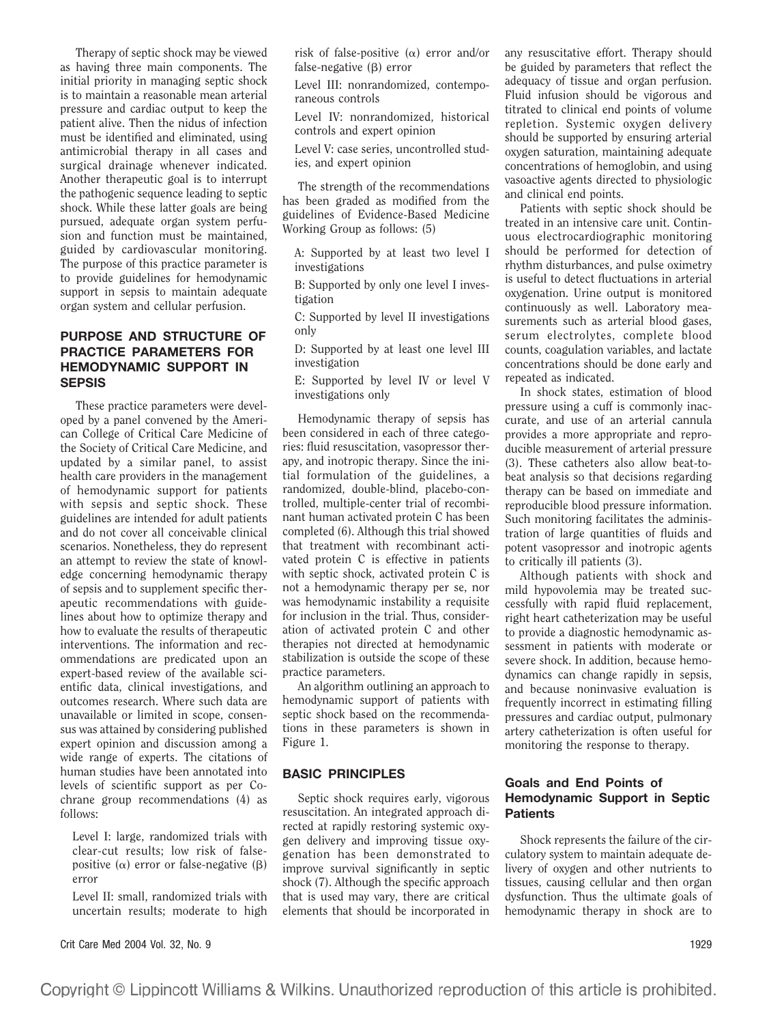Therapy of septic shock may be viewed as having three main components. The initial priority in managing septic shock is to maintain a reasonable mean arterial pressure and cardiac output to keep the patient alive. Then the nidus of infection must be identified and eliminated, using antimicrobial therapy in all cases and surgical drainage whenever indicated. Another therapeutic goal is to interrupt the pathogenic sequence leading to septic shock. While these latter goals are being pursued, adequate organ system perfusion and function must be maintained, guided by cardiovascular monitoring. The purpose of this practice parameter is to provide guidelines for hemodynamic support in sepsis to maintain adequate organ system and cellular perfusion.

# **PURPOSE AND STRUCTURE OF PRACTICE PARAMETERS FOR HEMODYNAMIC SUPPORT IN SEPSIS**

These practice parameters were developed by a panel convened by the American College of Critical Care Medicine of the Society of Critical Care Medicine, and updated by a similar panel, to assist health care providers in the management of hemodynamic support for patients with sepsis and septic shock. These guidelines are intended for adult patients and do not cover all conceivable clinical scenarios. Nonetheless, they do represent an attempt to review the state of knowledge concerning hemodynamic therapy of sepsis and to supplement specific therapeutic recommendations with guidelines about how to optimize therapy and how to evaluate the results of therapeutic interventions. The information and recommendations are predicated upon an expert-based review of the available scientific data, clinical investigations, and outcomes research. Where such data are unavailable or limited in scope, consensus was attained by considering published expert opinion and discussion among a wide range of experts. The citations of human studies have been annotated into levels of scientific support as per Cochrane group recommendations (4) as follows:

Level I: large, randomized trials with clear-cut results; low risk of falsepositive ( $\alpha$ ) error or false-negative ( $\beta$ ) error

Level II: small, randomized trials with uncertain results; moderate to high

Crit Care Med 2004 Vol. 32, No. 9 1929

risk of false-positive  $(\alpha)$  error and/or false-negative (β) error

Level III: nonrandomized, contemporaneous controls

Level IV: nonrandomized, historical controls and expert opinion

Level V: case series, uncontrolled studies, and expert opinion

The strength of the recommendations has been graded as modified from the guidelines of Evidence-Based Medicine Working Group as follows: (5)

A: Supported by at least two level I investigations

B: Supported by only one level I investigation

C: Supported by level II investigations only

D: Supported by at least one level III investigation

E: Supported by level IV or level V investigations only

Hemodynamic therapy of sepsis has been considered in each of three categories: fluid resuscitation, vasopressor therapy, and inotropic therapy. Since the initial formulation of the guidelines, a randomized, double-blind, placebo-controlled, multiple-center trial of recombinant human activated protein C has been completed (6). Although this trial showed that treatment with recombinant activated protein C is effective in patients with septic shock, activated protein C is not a hemodynamic therapy per se, nor was hemodynamic instability a requisite for inclusion in the trial. Thus, consideration of activated protein C and other therapies not directed at hemodynamic stabilization is outside the scope of these practice parameters.

An algorithm outlining an approach to hemodynamic support of patients with septic shock based on the recommendations in these parameters is shown in Figure 1.

# **BASIC PRINCIPLES**

Septic shock requires early, vigorous resuscitation. An integrated approach directed at rapidly restoring systemic oxygen delivery and improving tissue oxygenation has been demonstrated to improve survival significantly in septic shock (7). Although the specific approach that is used may vary, there are critical elements that should be incorporated in any resuscitative effort. Therapy should be guided by parameters that reflect the adequacy of tissue and organ perfusion. Fluid infusion should be vigorous and titrated to clinical end points of volume repletion. Systemic oxygen delivery should be supported by ensuring arterial oxygen saturation, maintaining adequate concentrations of hemoglobin, and using vasoactive agents directed to physiologic and clinical end points.

Patients with septic shock should be treated in an intensive care unit. Continuous electrocardiographic monitoring should be performed for detection of rhythm disturbances, and pulse oximetry is useful to detect fluctuations in arterial oxygenation. Urine output is monitored continuously as well. Laboratory measurements such as arterial blood gases, serum electrolytes, complete blood counts, coagulation variables, and lactate concentrations should be done early and repeated as indicated.

In shock states, estimation of blood pressure using a cuff is commonly inaccurate, and use of an arterial cannula provides a more appropriate and reproducible measurement of arterial pressure (3). These catheters also allow beat-tobeat analysis so that decisions regarding therapy can be based on immediate and reproducible blood pressure information. Such monitoring facilitates the administration of large quantities of fluids and potent vasopressor and inotropic agents to critically ill patients (3).

Although patients with shock and mild hypovolemia may be treated successfully with rapid fluid replacement, right heart catheterization may be useful to provide a diagnostic hemodynamic assessment in patients with moderate or severe shock. In addition, because hemodynamics can change rapidly in sepsis, and because noninvasive evaluation is frequently incorrect in estimating filling pressures and cardiac output, pulmonary artery catheterization is often useful for monitoring the response to therapy.

# **Goals and End Points of Hemodynamic Support in Septic Patients**

Shock represents the failure of the circulatory system to maintain adequate delivery of oxygen and other nutrients to tissues, causing cellular and then organ dysfunction. Thus the ultimate goals of hemodynamic therapy in shock are to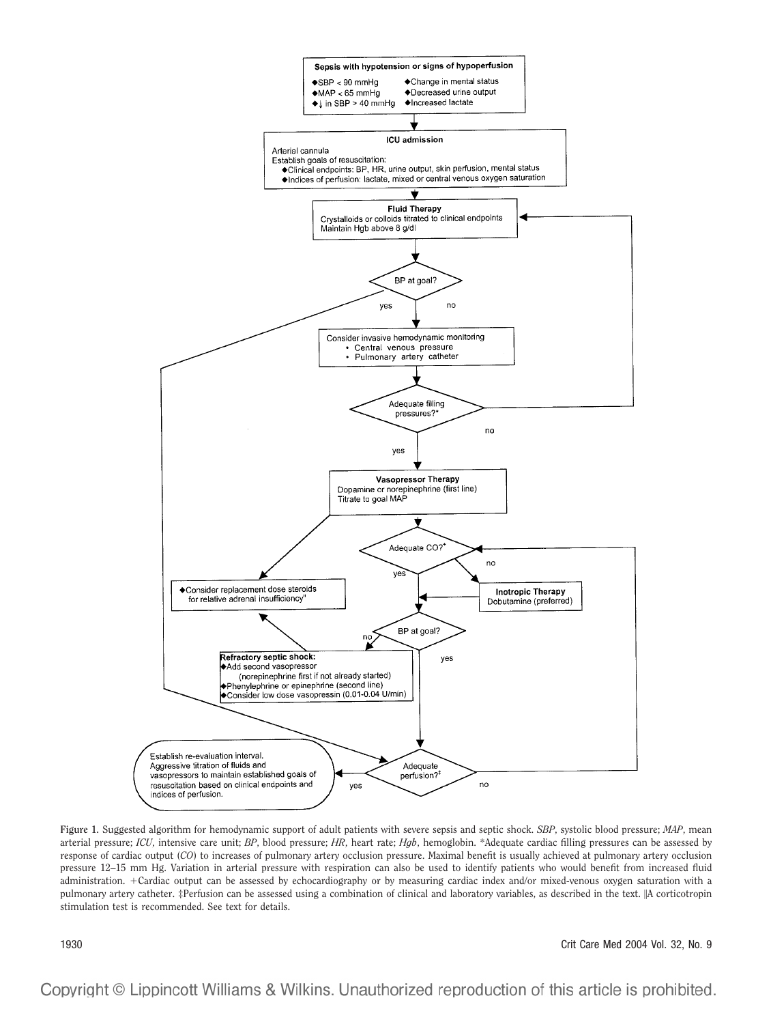

**Figure 1.** Suggested algorithm for hemodynamic support of adult patients with severe sepsis and septic shock. *SBP*, systolic blood pressure; *MAP*, mean arterial pressure; *ICU*, intensive care unit; *BP*, blood pressure; *HR*, heart rate; *Hgb*, hemoglobin. \*Adequate cardiac filling pressures can be assessed by response of cardiac output (*CO*) to increases of pulmonary artery occlusion pressure. Maximal benefit is usually achieved at pulmonary artery occlusion pressure 12–15 mm Hg. Variation in arterial pressure with respiration can also be used to identify patients who would benefit from increased fluid administration. +Cardiac output can be assessed by echocardiography or by measuring cardiac index and/or mixed-venous oxygen saturation with a pulmonary artery catheter. ‡Perfusion can be assessed using a combination of clinical and laboratory variables, as described in the text. |A corticotropin stimulation test is recommended. See text for details.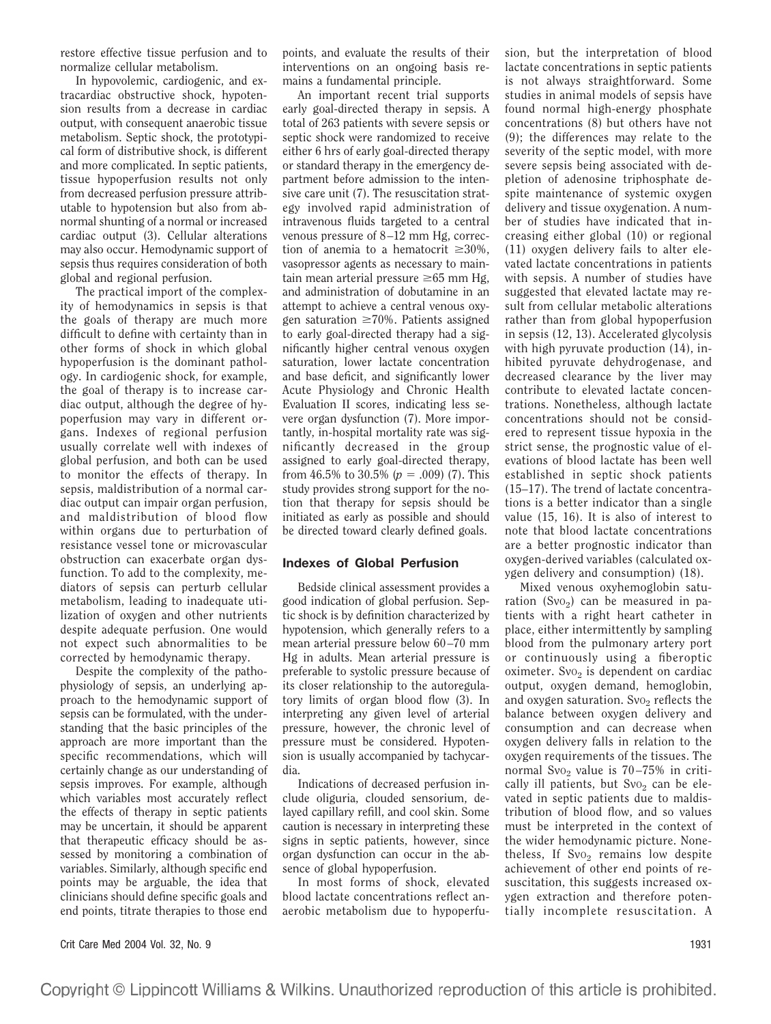restore effective tissue perfusion and to normalize cellular metabolism.

In hypovolemic, cardiogenic, and extracardiac obstructive shock, hypotension results from a decrease in cardiac output, with consequent anaerobic tissue metabolism. Septic shock, the prototypical form of distributive shock, is different and more complicated. In septic patients, tissue hypoperfusion results not only from decreased perfusion pressure attributable to hypotension but also from abnormal shunting of a normal or increased cardiac output (3). Cellular alterations may also occur. Hemodynamic support of sepsis thus requires consideration of both global and regional perfusion.

The practical import of the complexity of hemodynamics in sepsis is that the goals of therapy are much more difficult to define with certainty than in other forms of shock in which global hypoperfusion is the dominant pathology. In cardiogenic shock, for example, the goal of therapy is to increase cardiac output, although the degree of hypoperfusion may vary in different organs. Indexes of regional perfusion usually correlate well with indexes of global perfusion, and both can be used to monitor the effects of therapy. In sepsis, maldistribution of a normal cardiac output can impair organ perfusion, and maldistribution of blood flow within organs due to perturbation of resistance vessel tone or microvascular obstruction can exacerbate organ dysfunction. To add to the complexity, mediators of sepsis can perturb cellular metabolism, leading to inadequate utilization of oxygen and other nutrients despite adequate perfusion. One would not expect such abnormalities to be corrected by hemodynamic therapy.

Despite the complexity of the pathophysiology of sepsis, an underlying approach to the hemodynamic support of sepsis can be formulated, with the understanding that the basic principles of the approach are more important than the specific recommendations, which will certainly change as our understanding of sepsis improves. For example, although which variables most accurately reflect the effects of therapy in septic patients may be uncertain, it should be apparent that therapeutic efficacy should be assessed by monitoring a combination of variables. Similarly, although specific end points may be arguable, the idea that clinicians should define specific goals and end points, titrate therapies to those end points, and evaluate the results of their interventions on an ongoing basis remains a fundamental principle.

An important recent trial supports early goal-directed therapy in sepsis. A total of 263 patients with severe sepsis or septic shock were randomized to receive either 6 hrs of early goal-directed therapy or standard therapy in the emergency department before admission to the intensive care unit (7). The resuscitation strategy involved rapid administration of intravenous fluids targeted to a central venous pressure of 8–12 mm Hg, correction of anemia to a hematocrit  $\geq 30\%$ , vasopressor agents as necessary to maintain mean arterial pressure  $\geq 65$  mm Hg, and administration of dobutamine in an attempt to achieve a central venous oxygen saturation  $\geq 70\%$ . Patients assigned to early goal-directed therapy had a significantly higher central venous oxygen saturation, lower lactate concentration and base deficit, and significantly lower Acute Physiology and Chronic Health Evaluation II scores, indicating less severe organ dysfunction (7). More importantly, in-hospital mortality rate was significantly decreased in the group assigned to early goal-directed therapy, from 46.5% to 30.5%  $(p = .009)$  (7). This study provides strong support for the notion that therapy for sepsis should be initiated as early as possible and should be directed toward clearly defined goals.

## **Indexes of Global Perfusion**

Bedside clinical assessment provides a good indication of global perfusion. Septic shock is by definition characterized by hypotension, which generally refers to a mean arterial pressure below 60–70 mm Hg in adults. Mean arterial pressure is preferable to systolic pressure because of its closer relationship to the autoregulatory limits of organ blood flow (3). In interpreting any given level of arterial pressure, however, the chronic level of pressure must be considered. Hypotension is usually accompanied by tachycardia.

Indications of decreased perfusion include oliguria, clouded sensorium, delayed capillary refill, and cool skin. Some caution is necessary in interpreting these signs in septic patients, however, since organ dysfunction can occur in the absence of global hypoperfusion.

In most forms of shock, elevated blood lactate concentrations reflect anaerobic metabolism due to hypoperfu-

sion, but the interpretation of blood lactate concentrations in septic patients is not always straightforward. Some studies in animal models of sepsis have found normal high-energy phosphate concentrations (8) but others have not (9); the differences may relate to the severity of the septic model, with more severe sepsis being associated with depletion of adenosine triphosphate despite maintenance of systemic oxygen delivery and tissue oxygenation. A number of studies have indicated that increasing either global (10) or regional (11) oxygen delivery fails to alter elevated lactate concentrations in patients with sepsis. A number of studies have suggested that elevated lactate may result from cellular metabolic alterations rather than from global hypoperfusion in sepsis (12, 13). Accelerated glycolysis with high pyruvate production (14), inhibited pyruvate dehydrogenase, and decreased clearance by the liver may contribute to elevated lactate concentrations. Nonetheless, although lactate concentrations should not be considered to represent tissue hypoxia in the strict sense, the prognostic value of elevations of blood lactate has been well established in septic shock patients (15–17). The trend of lactate concentrations is a better indicator than a single value (15, 16). It is also of interest to note that blood lactate concentrations are a better prognostic indicator than oxygen-derived variables (calculated oxygen delivery and consumption) (18).

Mixed venous oxyhemoglobin saturation (Svo<sub>2</sub>) can be measured in patients with a right heart catheter in place, either intermittently by sampling blood from the pulmonary artery port or continuously using a fiberoptic  $oximeter. Svo<sub>2</sub>$  is dependent on cardiac output, oxygen demand, hemoglobin, and oxygen saturation. Svo<sub>2</sub> reflects the balance between oxygen delivery and consumption and can decrease when oxygen delivery falls in relation to the oxygen requirements of the tissues. The normal Svo<sub>2</sub> value is  $70-75%$  in critically ill patients, but  $Svo<sub>2</sub>$  can be elevated in septic patients due to maldistribution of blood flow, and so values must be interpreted in the context of the wider hemodynamic picture. Nonetheless, If  $Svo<sub>2</sub>$  remains low despite achievement of other end points of resuscitation, this suggests increased oxygen extraction and therefore potentially incomplete resuscitation. A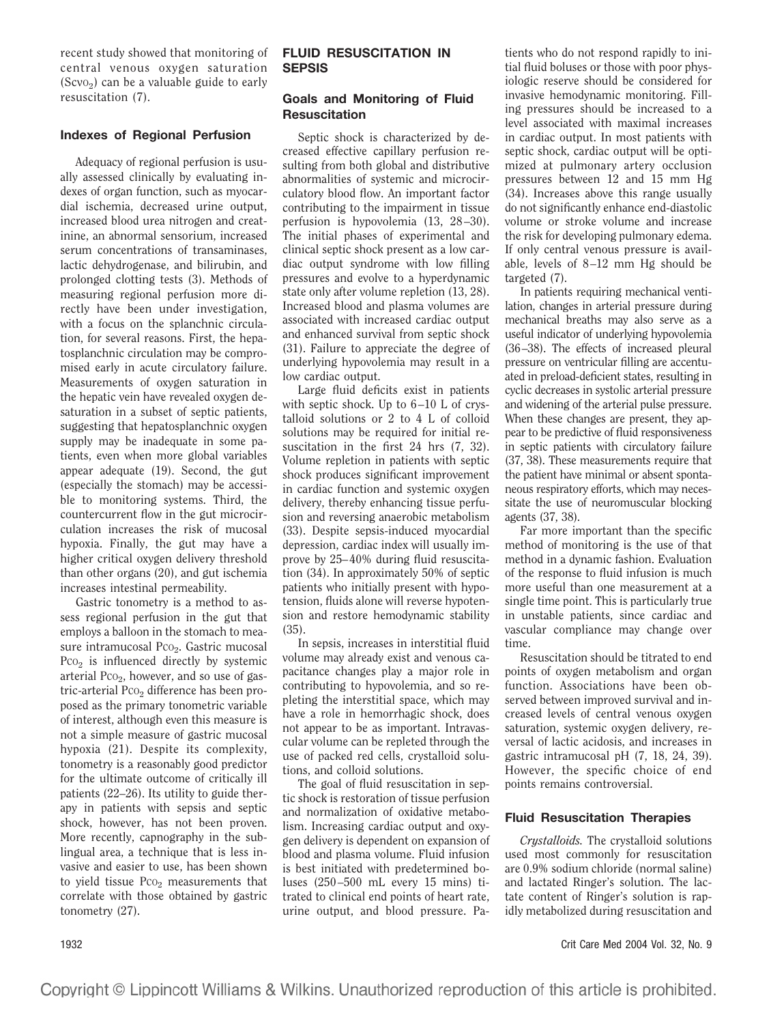recent study showed that monitoring of central venous oxygen saturation  $(Scvo<sub>2</sub>)$  can be a valuable guide to early resuscitation (7).

## **Indexes of Regional Perfusion**

Adequacy of regional perfusion is usually assessed clinically by evaluating indexes of organ function, such as myocardial ischemia, decreased urine output, increased blood urea nitrogen and creatinine, an abnormal sensorium, increased serum concentrations of transaminases, lactic dehydrogenase, and bilirubin, and prolonged clotting tests (3). Methods of measuring regional perfusion more directly have been under investigation, with a focus on the splanchnic circulation, for several reasons. First, the hepatosplanchnic circulation may be compromised early in acute circulatory failure. Measurements of oxygen saturation in the hepatic vein have revealed oxygen desaturation in a subset of septic patients, suggesting that hepatosplanchnic oxygen supply may be inadequate in some patients, even when more global variables appear adequate (19). Second, the gut (especially the stomach) may be accessible to monitoring systems. Third, the countercurrent flow in the gut microcirculation increases the risk of mucosal hypoxia. Finally, the gut may have a higher critical oxygen delivery threshold than other organs (20), and gut ischemia increases intestinal permeability.

Gastric tonometry is a method to assess regional perfusion in the gut that employs a balloon in the stomach to measure intramucosal Pco<sub>2</sub>. Gastric mucosal  $PCO<sub>2</sub>$  is influenced directly by systemic arterial  $Pco<sub>2</sub>$ , however, and so use of gastric-arterial  $Pco<sub>2</sub>$  difference has been proposed as the primary tonometric variable of interest, although even this measure is not a simple measure of gastric mucosal hypoxia (21). Despite its complexity, tonometry is a reasonably good predictor for the ultimate outcome of critically ill patients (22–26). Its utility to guide therapy in patients with sepsis and septic shock, however, has not been proven. More recently, capnography in the sublingual area, a technique that is less invasive and easier to use, has been shown to yield tissue  $P_{C_2}$  measurements that correlate with those obtained by gastric tonometry (27).

#### **FLUID RESUSCITATION IN SEPSIS**

## **Goals and Monitoring of Fluid Resuscitation**

Septic shock is characterized by decreased effective capillary perfusion resulting from both global and distributive abnormalities of systemic and microcirculatory blood flow. An important factor contributing to the impairment in tissue perfusion is hypovolemia (13, 28 –30). The initial phases of experimental and clinical septic shock present as a low cardiac output syndrome with low filling pressures and evolve to a hyperdynamic state only after volume repletion (13, 28). Increased blood and plasma volumes are associated with increased cardiac output and enhanced survival from septic shock (31). Failure to appreciate the degree of underlying hypovolemia may result in a low cardiac output.

Large fluid deficits exist in patients with septic shock. Up to  $6-10$  L of crystalloid solutions or 2 to 4 L of colloid solutions may be required for initial resuscitation in the first 24 hrs (7, 32). Volume repletion in patients with septic shock produces significant improvement in cardiac function and systemic oxygen delivery, thereby enhancing tissue perfusion and reversing anaerobic metabolism (33). Despite sepsis-induced myocardial depression, cardiac index will usually improve by 25–40% during fluid resuscitation (34). In approximately 50% of septic patients who initially present with hypotension, fluids alone will reverse hypotension and restore hemodynamic stability (35).

In sepsis, increases in interstitial fluid volume may already exist and venous capacitance changes play a major role in contributing to hypovolemia, and so repleting the interstitial space, which may have a role in hemorrhagic shock, does not appear to be as important. Intravascular volume can be repleted through the use of packed red cells, crystalloid solutions, and colloid solutions.

The goal of fluid resuscitation in septic shock is restoration of tissue perfusion and normalization of oxidative metabolism. Increasing cardiac output and oxygen delivery is dependent on expansion of blood and plasma volume. Fluid infusion is best initiated with predetermined boluses (250–500 mL every 15 mins) titrated to clinical end points of heart rate, urine output, and blood pressure. Pa-

tients who do not respond rapidly to initial fluid boluses or those with poor physiologic reserve should be considered for invasive hemodynamic monitoring. Filling pressures should be increased to a level associated with maximal increases in cardiac output. In most patients with septic shock, cardiac output will be optimized at pulmonary artery occlusion pressures between 12 and 15 mm Hg (34). Increases above this range usually do not significantly enhance end-diastolic volume or stroke volume and increase the risk for developing pulmonary edema. If only central venous pressure is available, levels of 8–12 mm Hg should be targeted (7).

In patients requiring mechanical ventilation, changes in arterial pressure during mechanical breaths may also serve as a useful indicator of underlying hypovolemia (36–38). The effects of increased pleural pressure on ventricular filling are accentuated in preload-deficient states, resulting in cyclic decreases in systolic arterial pressure and widening of the arterial pulse pressure. When these changes are present, they appear to be predictive of fluid responsiveness in septic patients with circulatory failure (37, 38). These measurements require that the patient have minimal or absent spontaneous respiratory efforts, which may necessitate the use of neuromuscular blocking agents (37, 38).

Far more important than the specific method of monitoring is the use of that method in a dynamic fashion. Evaluation of the response to fluid infusion is much more useful than one measurement at a single time point. This is particularly true in unstable patients, since cardiac and vascular compliance may change over time.

Resuscitation should be titrated to end points of oxygen metabolism and organ function. Associations have been observed between improved survival and increased levels of central venous oxygen saturation, systemic oxygen delivery, reversal of lactic acidosis, and increases in gastric intramucosal pH (7, 18, 24, 39). However, the specific choice of end points remains controversial.

# **Fluid Resuscitation Therapies**

*Crystalloids.* The crystalloid solutions used most commonly for resuscitation are 0.9% sodium chloride (normal saline) and lactated Ringer's solution. The lactate content of Ringer's solution is rapidly metabolized during resuscitation and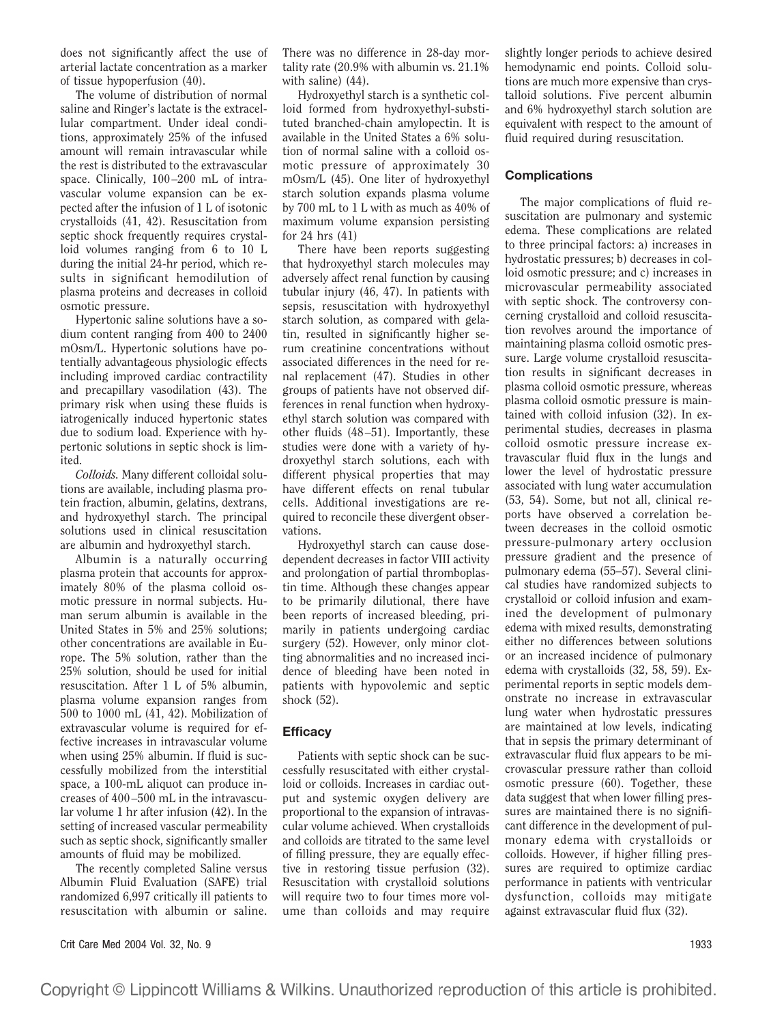does not significantly affect the use of arterial lactate concentration as a marker of tissue hypoperfusion (40).

The volume of distribution of normal saline and Ringer's lactate is the extracellular compartment. Under ideal conditions, approximately 25% of the infused amount will remain intravascular while the rest is distributed to the extravascular space. Clinically, 100–200 mL of intravascular volume expansion can be expected after the infusion of 1 L of isotonic crystalloids (41, 42). Resuscitation from septic shock frequently requires crystalloid volumes ranging from 6 to 10 L during the initial 24-hr period, which results in significant hemodilution of plasma proteins and decreases in colloid osmotic pressure.

Hypertonic saline solutions have a sodium content ranging from 400 to 2400 mOsm/L. Hypertonic solutions have potentially advantageous physiologic effects including improved cardiac contractility and precapillary vasodilation (43). The primary risk when using these fluids is iatrogenically induced hypertonic states due to sodium load. Experience with hypertonic solutions in septic shock is limited.

*Colloids.* Many different colloidal solutions are available, including plasma protein fraction, albumin, gelatins, dextrans, and hydroxyethyl starch. The principal solutions used in clinical resuscitation are albumin and hydroxyethyl starch.

Albumin is a naturally occurring plasma protein that accounts for approximately 80% of the plasma colloid osmotic pressure in normal subjects. Human serum albumin is available in the United States in 5% and 25% solutions; other concentrations are available in Europe. The 5% solution, rather than the 25% solution, should be used for initial resuscitation. After 1 L of 5% albumin, plasma volume expansion ranges from 500 to 1000 mL (41, 42). Mobilization of extravascular volume is required for effective increases in intravascular volume when using 25% albumin. If fluid is successfully mobilized from the interstitial space, a 100-mL aliquot can produce increases of 400–500 mL in the intravascular volume 1 hr after infusion (42). In the setting of increased vascular permeability such as septic shock, significantly smaller amounts of fluid may be mobilized.

The recently completed Saline versus Albumin Fluid Evaluation (SAFE) trial randomized 6,997 critically ill patients to resuscitation with albumin or saline.

There was no difference in 28-day mortality rate (20.9% with albumin vs. 21.1% with saline) (44).

Hydroxyethyl starch is a synthetic colloid formed from hydroxyethyl-substituted branched-chain amylopectin. It is available in the United States a 6% solution of normal saline with a colloid osmotic pressure of approximately 30 mOsm/L (45). One liter of hydroxyethyl starch solution expands plasma volume by 700 mL to 1 L with as much as 40% of maximum volume expansion persisting for 24 hrs (41)

There have been reports suggesting that hydroxyethyl starch molecules may adversely affect renal function by causing tubular injury (46, 47). In patients with sepsis, resuscitation with hydroxyethyl starch solution, as compared with gelatin, resulted in significantly higher serum creatinine concentrations without associated differences in the need for renal replacement (47). Studies in other groups of patients have not observed differences in renal function when hydroxyethyl starch solution was compared with other fluids (48–51). Importantly, these studies were done with a variety of hydroxyethyl starch solutions, each with different physical properties that may have different effects on renal tubular cells. Additional investigations are required to reconcile these divergent observations.

Hydroxyethyl starch can cause dosedependent decreases in factor VIII activity and prolongation of partial thromboplastin time. Although these changes appear to be primarily dilutional, there have been reports of increased bleeding, primarily in patients undergoing cardiac surgery (52). However, only minor clotting abnormalities and no increased incidence of bleeding have been noted in patients with hypovolemic and septic shock (52).

# **Efficacy**

Patients with septic shock can be successfully resuscitated with either crystalloid or colloids. Increases in cardiac output and systemic oxygen delivery are proportional to the expansion of intravascular volume achieved. When crystalloids and colloids are titrated to the same level of filling pressure, they are equally effective in restoring tissue perfusion (32). Resuscitation with crystalloid solutions will require two to four times more volume than colloids and may require slightly longer periods to achieve desired hemodynamic end points. Colloid solutions are much more expensive than crystalloid solutions. Five percent albumin and 6% hydroxyethyl starch solution are equivalent with respect to the amount of fluid required during resuscitation.

# **Complications**

The major complications of fluid resuscitation are pulmonary and systemic edema. These complications are related to three principal factors: a) increases in hydrostatic pressures; b) decreases in colloid osmotic pressure; and c) increases in microvascular permeability associated with septic shock. The controversy concerning crystalloid and colloid resuscitation revolves around the importance of maintaining plasma colloid osmotic pressure. Large volume crystalloid resuscitation results in significant decreases in plasma colloid osmotic pressure, whereas plasma colloid osmotic pressure is maintained with colloid infusion (32). In experimental studies, decreases in plasma colloid osmotic pressure increase extravascular fluid flux in the lungs and lower the level of hydrostatic pressure associated with lung water accumulation (53, 54). Some, but not all, clinical reports have observed a correlation between decreases in the colloid osmotic pressure-pulmonary artery occlusion pressure gradient and the presence of pulmonary edema (55–57). Several clinical studies have randomized subjects to crystalloid or colloid infusion and examined the development of pulmonary edema with mixed results, demonstrating either no differences between solutions or an increased incidence of pulmonary edema with crystalloids (32, 58, 59). Experimental reports in septic models demonstrate no increase in extravascular lung water when hydrostatic pressures are maintained at low levels, indicating that in sepsis the primary determinant of extravascular fluid flux appears to be microvascular pressure rather than colloid osmotic pressure (60). Together, these data suggest that when lower filling pressures are maintained there is no significant difference in the development of pulmonary edema with crystalloids or colloids. However, if higher filling pressures are required to optimize cardiac performance in patients with ventricular dysfunction, colloids may mitigate against extravascular fluid flux (32).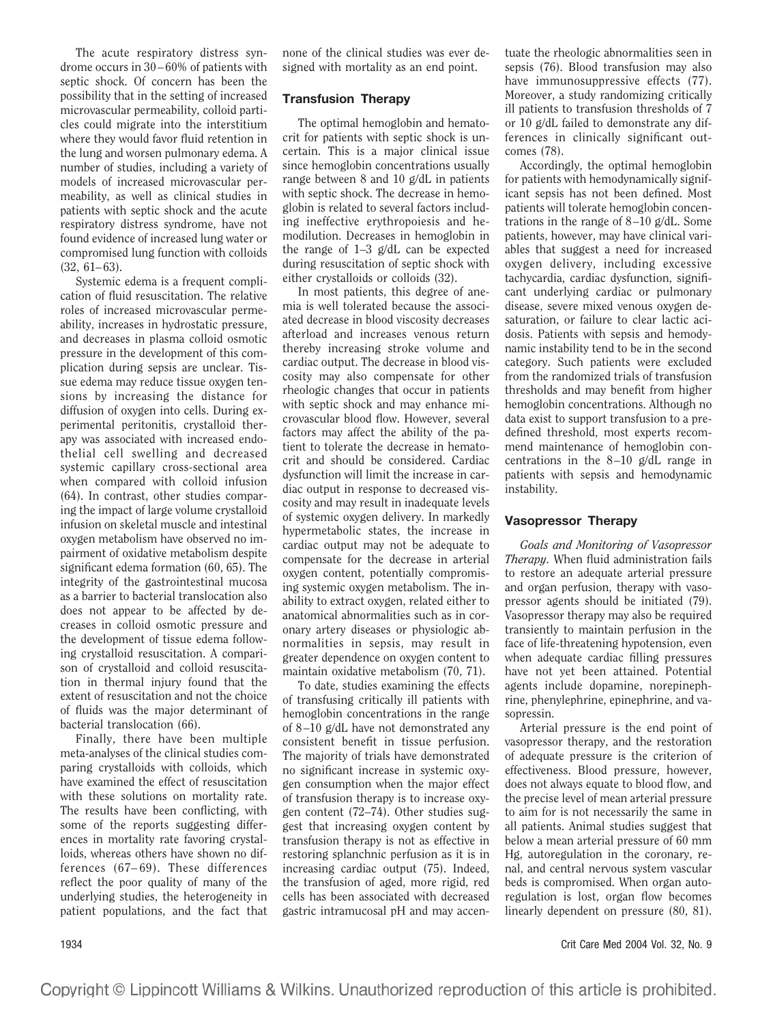The acute respiratory distress syndrome occurs in 30–60% of patients with septic shock. Of concern has been the possibility that in the setting of increased microvascular permeability, colloid particles could migrate into the interstitium where they would favor fluid retention in the lung and worsen pulmonary edema. A number of studies, including a variety of models of increased microvascular permeability, as well as clinical studies in patients with septic shock and the acute respiratory distress syndrome, have not found evidence of increased lung water or compromised lung function with colloids (32, 61–63).

Systemic edema is a frequent complication of fluid resuscitation. The relative roles of increased microvascular permeability, increases in hydrostatic pressure, and decreases in plasma colloid osmotic pressure in the development of this complication during sepsis are unclear. Tissue edema may reduce tissue oxygen tensions by increasing the distance for diffusion of oxygen into cells. During experimental peritonitis, crystalloid therapy was associated with increased endothelial cell swelling and decreased systemic capillary cross-sectional area when compared with colloid infusion (64). In contrast, other studies comparing the impact of large volume crystalloid infusion on skeletal muscle and intestinal oxygen metabolism have observed no impairment of oxidative metabolism despite significant edema formation (60, 65). The integrity of the gastrointestinal mucosa as a barrier to bacterial translocation also does not appear to be affected by decreases in colloid osmotic pressure and the development of tissue edema following crystalloid resuscitation. A comparison of crystalloid and colloid resuscitation in thermal injury found that the extent of resuscitation and not the choice of fluids was the major determinant of bacterial translocation (66).

Finally, there have been multiple meta-analyses of the clinical studies comparing crystalloids with colloids, which have examined the effect of resuscitation with these solutions on mortality rate. The results have been conflicting, with some of the reports suggesting differences in mortality rate favoring crystalloids, whereas others have shown no differences (67– 69). These differences reflect the poor quality of many of the underlying studies, the heterogeneity in patient populations, and the fact that

none of the clinical studies was ever designed with mortality as an end point.

# **Transfusion Therapy**

The optimal hemoglobin and hematocrit for patients with septic shock is uncertain. This is a major clinical issue since hemoglobin concentrations usually range between 8 and 10 g/dL in patients with septic shock. The decrease in hemoglobin is related to several factors including ineffective erythropoiesis and hemodilution. Decreases in hemoglobin in the range of 1–3 g/dL can be expected during resuscitation of septic shock with either crystalloids or colloids (32).

In most patients, this degree of anemia is well tolerated because the associated decrease in blood viscosity decreases afterload and increases venous return thereby increasing stroke volume and cardiac output. The decrease in blood viscosity may also compensate for other rheologic changes that occur in patients with septic shock and may enhance microvascular blood flow. However, several factors may affect the ability of the patient to tolerate the decrease in hematocrit and should be considered. Cardiac dysfunction will limit the increase in cardiac output in response to decreased viscosity and may result in inadequate levels of systemic oxygen delivery. In markedly hypermetabolic states, the increase in cardiac output may not be adequate to compensate for the decrease in arterial oxygen content, potentially compromising systemic oxygen metabolism. The inability to extract oxygen, related either to anatomical abnormalities such as in coronary artery diseases or physiologic abnormalities in sepsis, may result in greater dependence on oxygen content to maintain oxidative metabolism (70, 71).

To date, studies examining the effects of transfusing critically ill patients with hemoglobin concentrations in the range of 8–10 g/dL have not demonstrated any consistent benefit in tissue perfusion. The majority of trials have demonstrated no significant increase in systemic oxygen consumption when the major effect of transfusion therapy is to increase oxygen content (72–74). Other studies suggest that increasing oxygen content by transfusion therapy is not as effective in restoring splanchnic perfusion as it is in increasing cardiac output (75). Indeed, the transfusion of aged, more rigid, red cells has been associated with decreased gastric intramucosal pH and may accentuate the rheologic abnormalities seen in sepsis (76). Blood transfusion may also have immunosuppressive effects (77). Moreover, a study randomizing critically ill patients to transfusion thresholds of 7 or 10 g/dL failed to demonstrate any differences in clinically significant outcomes (78).

Accordingly, the optimal hemoglobin for patients with hemodynamically significant sepsis has not been defined. Most patients will tolerate hemoglobin concentrations in the range of 8–10 g/dL. Some patients, however, may have clinical variables that suggest a need for increased oxygen delivery, including excessive tachycardia, cardiac dysfunction, significant underlying cardiac or pulmonary disease, severe mixed venous oxygen desaturation, or failure to clear lactic acidosis. Patients with sepsis and hemodynamic instability tend to be in the second category. Such patients were excluded from the randomized trials of transfusion thresholds and may benefit from higher hemoglobin concentrations. Although no data exist to support transfusion to a predefined threshold, most experts recommend maintenance of hemoglobin concentrations in the 8–10 g/dL range in patients with sepsis and hemodynamic instability.

#### **Vasopressor Therapy**

*Goals and Monitoring of Vasopressor Therapy.* When fluid administration fails to restore an adequate arterial pressure and organ perfusion, therapy with vasopressor agents should be initiated (79). Vasopressor therapy may also be required transiently to maintain perfusion in the face of life-threatening hypotension, even when adequate cardiac filling pressures have not yet been attained. Potential agents include dopamine, norepinephrine, phenylephrine, epinephrine, and vasopressin.

Arterial pressure is the end point of vasopressor therapy, and the restoration of adequate pressure is the criterion of effectiveness. Blood pressure, however, does not always equate to blood flow, and the precise level of mean arterial pressure to aim for is not necessarily the same in all patients. Animal studies suggest that below a mean arterial pressure of 60 mm Hg, autoregulation in the coronary, renal, and central nervous system vascular beds is compromised. When organ autoregulation is lost, organ flow becomes linearly dependent on pressure (80, 81).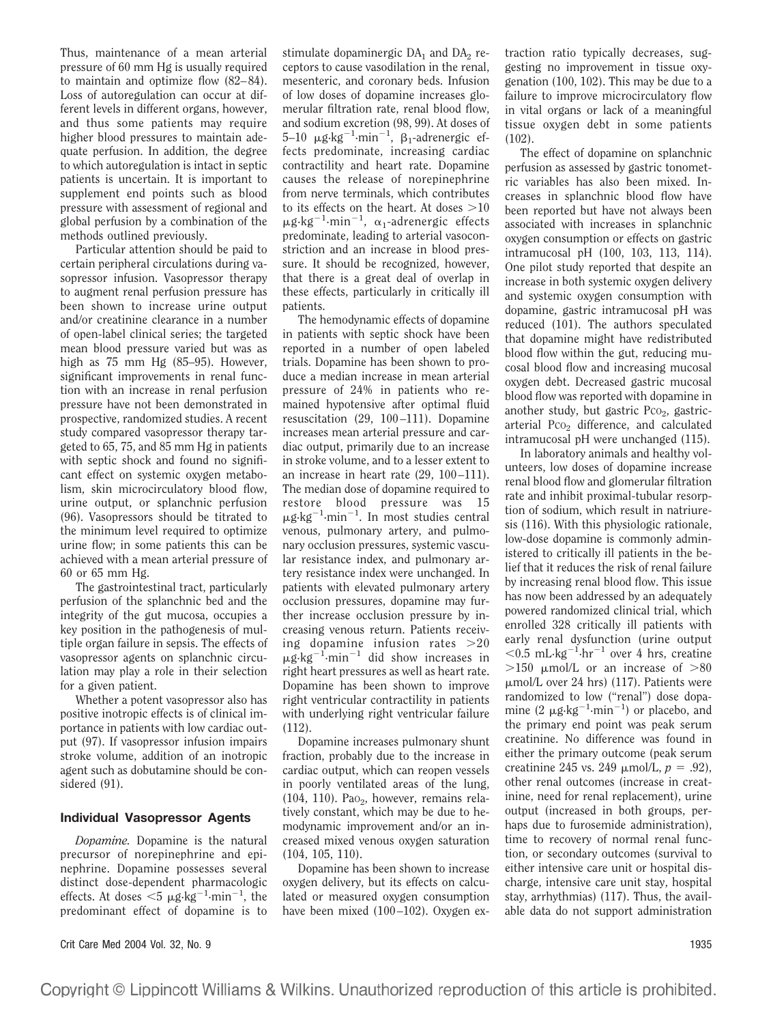Thus, maintenance of a mean arterial pressure of 60 mm Hg is usually required to maintain and optimize flow (82–84). Loss of autoregulation can occur at different levels in different organs, however, and thus some patients may require higher blood pressures to maintain adequate perfusion. In addition, the degree to which autoregulation is intact in septic patients is uncertain. It is important to supplement end points such as blood pressure with assessment of regional and global perfusion by a combination of the methods outlined previously.

Particular attention should be paid to certain peripheral circulations during vasopressor infusion. Vasopressor therapy to augment renal perfusion pressure has been shown to increase urine output and/or creatinine clearance in a number of open-label clinical series; the targeted mean blood pressure varied but was as high as 75 mm Hg (85–95). However, significant improvements in renal function with an increase in renal perfusion pressure have not been demonstrated in prospective, randomized studies. A recent study compared vasopressor therapy targeted to 65, 75, and 85 mm Hg in patients with septic shock and found no significant effect on systemic oxygen metabolism, skin microcirculatory blood flow, urine output, or splanchnic perfusion (96). Vasopressors should be titrated to the minimum level required to optimize urine flow; in some patients this can be achieved with a mean arterial pressure of 60 or 65 mm Hg.

The gastrointestinal tract, particularly perfusion of the splanchnic bed and the integrity of the gut mucosa, occupies a key position in the pathogenesis of multiple organ failure in sepsis. The effects of vasopressor agents on splanchnic circulation may play a role in their selection for a given patient.

Whether a potent vasopressor also has positive inotropic effects is of clinical importance in patients with low cardiac output (97). If vasopressor infusion impairs stroke volume, addition of an inotropic agent such as dobutamine should be considered (91).

#### **Individual Vasopressor Agents**

*Dopamine.* Dopamine is the natural precursor of norepinephrine and epinephrine. Dopamine possesses several distinct dose-dependent pharmacologic effects. At doses  $\leq 5 \mu g \cdot kg^{-1} \cdot min^{-1}$ , the predominant effect of dopamine is to

stimulate dopaminergic  $DA_1$  and  $DA_2$  receptors to cause vasodilation in the renal, mesenteric, and coronary beds. Infusion of low doses of dopamine increases glomerular filtration rate, renal blood flow, and sodium excretion (98, 99). At doses of  $5-10 \mu g \cdot kg^{-1} \cdot min^{-1}$ ,  $\beta_1$ -adrenergic effects predominate, increasing cardiac contractility and heart rate. Dopamine causes the release of norepinephrine from nerve terminals, which contributes to its effects on the heart. At doses  $>10$  $\mu$ g·kg<sup>-1</sup>·min<sup>-1</sup>,  $\alpha_1$ -adrenergic effects predominate, leading to arterial vasoconstriction and an increase in blood pressure. It should be recognized, however, that there is a great deal of overlap in these effects, particularly in critically ill patients.

The hemodynamic effects of dopamine in patients with septic shock have been reported in a number of open labeled trials. Dopamine has been shown to produce a median increase in mean arterial pressure of 24% in patients who remained hypotensive after optimal fluid resuscitation (29, 100–111). Dopamine increases mean arterial pressure and cardiac output, primarily due to an increase in stroke volume, and to a lesser extent to an increase in heart rate (29, 100–111). The median dose of dopamine required to restore blood pressure was 15  $\mu$ g·kg<sup>-1</sup>·min<sup>-1</sup>. In most studies central venous, pulmonary artery, and pulmonary occlusion pressures, systemic vascular resistance index, and pulmonary artery resistance index were unchanged. In patients with elevated pulmonary artery occlusion pressures, dopamine may further increase occlusion pressure by increasing venous return. Patients receiving dopamine infusion rates  $>20$  $\mu$ g·kg<sup>-1</sup>·min<sup>-1</sup> did show increases in right heart pressures as well as heart rate. Dopamine has been shown to improve right ventricular contractility in patients with underlying right ventricular failure (112).

Dopamine increases pulmonary shunt fraction, probably due to the increase in cardiac output, which can reopen vessels in poorly ventilated areas of the lung,  $(104, 110)$ . Pa $o<sub>2</sub>$ , however, remains relatively constant, which may be due to hemodynamic improvement and/or an increased mixed venous oxygen saturation (104, 105, 110).

Dopamine has been shown to increase oxygen delivery, but its effects on calculated or measured oxygen consumption have been mixed (100–102). Oxygen extraction ratio typically decreases, suggesting no improvement in tissue oxygenation (100, 102). This may be due to a failure to improve microcirculatory flow in vital organs or lack of a meaningful tissue oxygen debt in some patients (102).

The effect of dopamine on splanchnic perfusion as assessed by gastric tonometric variables has also been mixed. Increases in splanchnic blood flow have been reported but have not always been associated with increases in splanchnic oxygen consumption or effects on gastric intramucosal pH (100, 103, 113, 114). One pilot study reported that despite an increase in both systemic oxygen delivery and systemic oxygen consumption with dopamine, gastric intramucosal pH was reduced (101). The authors speculated that dopamine might have redistributed blood flow within the gut, reducing mucosal blood flow and increasing mucosal oxygen debt. Decreased gastric mucosal blood flow was reported with dopamine in another study, but gastric  $PCO<sub>2</sub>$ , gastricarterial Pco<sub>2</sub> difference, and calculated intramucosal pH were unchanged (115).

In laboratory animals and healthy volunteers, low doses of dopamine increase renal blood flow and glomerular filtration rate and inhibit proximal-tubular resorption of sodium, which result in natriuresis (116). With this physiologic rationale, low-dose dopamine is commonly administered to critically ill patients in the belief that it reduces the risk of renal failure by increasing renal blood flow. This issue has now been addressed by an adequately powered randomized clinical trial, which enrolled 328 critically ill patients with early renal dysfunction (urine output  $<$ 0.5 mL·kg<sup>-1</sup>·hr<sup>-1</sup> over 4 hrs, creatine  $>150$  µmol/L or an increase of  $>80$ mol/L over 24 hrs) (117). Patients were randomized to low ("renal") dose dopamine  $(2 \mu g \cdot kg^{-1} \cdot min^{-1})$  or placebo, and the primary end point was peak serum creatinine. No difference was found in either the primary outcome (peak serum creatinine 245 vs. 249  $\mu$ mol/L,  $p = .92$ ), other renal outcomes (increase in creatinine, need for renal replacement), urine output (increased in both groups, perhaps due to furosemide administration), time to recovery of normal renal function, or secondary outcomes (survival to either intensive care unit or hospital discharge, intensive care unit stay, hospital stay, arrhythmias) (117). Thus, the available data do not support administration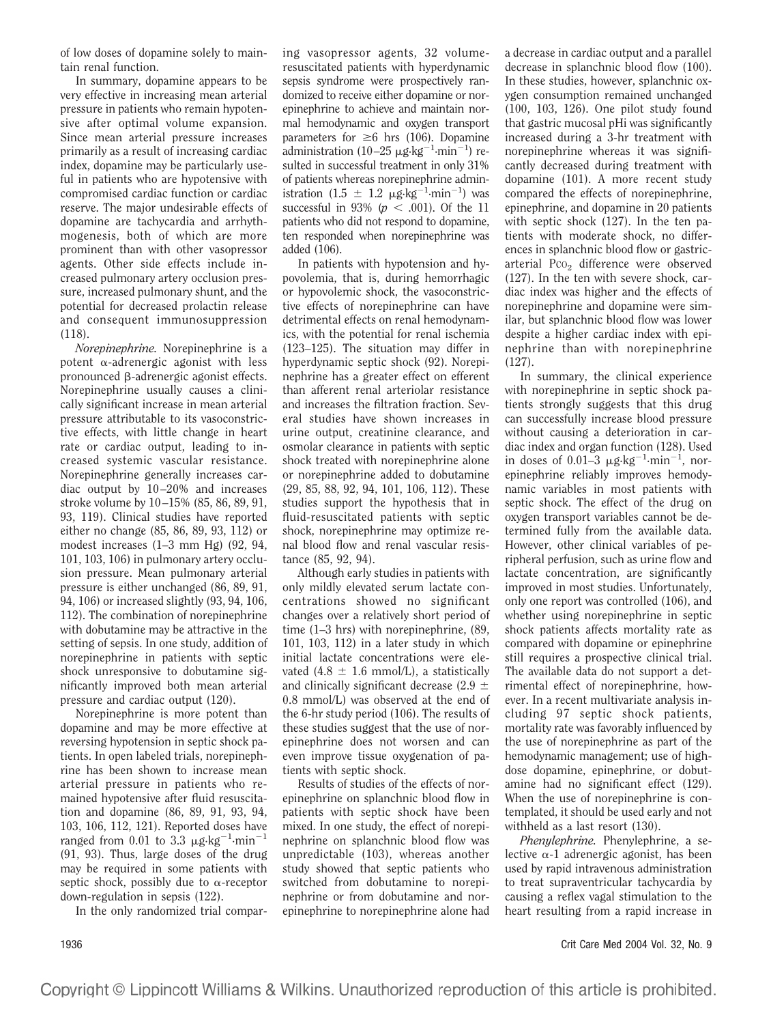of low doses of dopamine solely to maintain renal function.

In summary, dopamine appears to be very effective in increasing mean arterial pressure in patients who remain hypotensive after optimal volume expansion. Since mean arterial pressure increases primarily as a result of increasing cardiac index, dopamine may be particularly useful in patients who are hypotensive with compromised cardiac function or cardiac reserve. The major undesirable effects of dopamine are tachycardia and arrhythmogenesis, both of which are more prominent than with other vasopressor agents. Other side effects include increased pulmonary artery occlusion pressure, increased pulmonary shunt, and the potential for decreased prolactin release and consequent immunosuppression (118).

*Norepinephrine.* Norepinephrine is a potent  $\alpha$ -adrenergic agonist with less pronounced  $\beta$ -adrenergic agonist effects. Norepinephrine usually causes a clinically significant increase in mean arterial pressure attributable to its vasoconstrictive effects, with little change in heart rate or cardiac output, leading to increased systemic vascular resistance. Norepinephrine generally increases cardiac output by 10–20% and increases stroke volume by 10–15% (85, 86, 89, 91, 93, 119). Clinical studies have reported either no change (85, 86, 89, 93, 112) or modest increases (1–3 mm Hg) (92, 94, 101, 103, 106) in pulmonary artery occlusion pressure. Mean pulmonary arterial pressure is either unchanged (86, 89, 91, 94, 106) or increased slightly (93, 94, 106, 112). The combination of norepinephrine with dobutamine may be attractive in the setting of sepsis. In one study, addition of norepinephrine in patients with septic shock unresponsive to dobutamine significantly improved both mean arterial pressure and cardiac output (120).

Norepinephrine is more potent than dopamine and may be more effective at reversing hypotension in septic shock patients. In open labeled trials, norepinephrine has been shown to increase mean arterial pressure in patients who remained hypotensive after fluid resuscitation and dopamine (86, 89, 91, 93, 94, 103, 106, 112, 121). Reported doses have ranged from 0.01 to 3.3  $\mu$ g·kg<sup>-1</sup>·min<sup>-1</sup> (91, 93). Thus, large doses of the drug may be required in some patients with septic shock, possibly due to  $\alpha$ -receptor down-regulation in sepsis (122).

In the only randomized trial compar-

ing vasopressor agents, 32 volumeresuscitated patients with hyperdynamic sepsis syndrome were prospectively randomized to receive either dopamine or norepinephrine to achieve and maintain normal hemodynamic and oxygen transport parameters for  $\geq 6$  hrs (106). Dopamine administration (10-25  $\mu$ g·kg<sup>-1</sup>·min<sup>-1</sup>) resulted in successful treatment in only 31% of patients whereas norepinephrine administration  $(1.5 \pm 1.2 \mu g \cdot kg^{-1} \cdot min^{-1})$  was successful in 93% ( $p < .001$ ). Of the 11 patients who did not respond to dopamine, ten responded when norepinephrine was added (106).

In patients with hypotension and hypovolemia, that is, during hemorrhagic or hypovolemic shock, the vasoconstrictive effects of norepinephrine can have detrimental effects on renal hemodynamics, with the potential for renal ischemia (123–125). The situation may differ in hyperdynamic septic shock (92). Norepinephrine has a greater effect on efferent than afferent renal arteriolar resistance and increases the filtration fraction. Several studies have shown increases in urine output, creatinine clearance, and osmolar clearance in patients with septic shock treated with norepinephrine alone or norepinephrine added to dobutamine (29, 85, 88, 92, 94, 101, 106, 112). These studies support the hypothesis that in fluid-resuscitated patients with septic shock, norepinephrine may optimize renal blood flow and renal vascular resistance (85, 92, 94).

Although early studies in patients with only mildly elevated serum lactate concentrations showed no significant changes over a relatively short period of time (1–3 hrs) with norepinephrine, (89, 101, 103, 112) in a later study in which initial lactate concentrations were elevated (4.8  $\pm$  1.6 mmol/L), a statistically and clinically significant decrease  $(2.9 \pm$ 0.8 mmol/L) was observed at the end of the 6-hr study period (106). The results of these studies suggest that the use of norepinephrine does not worsen and can even improve tissue oxygenation of patients with septic shock.

Results of studies of the effects of norepinephrine on splanchnic blood flow in patients with septic shock have been mixed. In one study, the effect of norepinephrine on splanchnic blood flow was unpredictable (103), whereas another study showed that septic patients who switched from dobutamine to norepinephrine or from dobutamine and norepinephrine to norepinephrine alone had

a decrease in cardiac output and a parallel decrease in splanchnic blood flow (100). In these studies, however, splanchnic oxygen consumption remained unchanged (100, 103, 126). One pilot study found that gastric mucosal pHi was significantly increased during a 3-hr treatment with norepinephrine whereas it was significantly decreased during treatment with dopamine (101). A more recent study compared the effects of norepinephrine, epinephrine, and dopamine in 20 patients with septic shock (127). In the ten patients with moderate shock, no differences in splanchnic blood flow or gastricarterial Pco<sub>2</sub> difference were observed (127). In the ten with severe shock, cardiac index was higher and the effects of norepinephrine and dopamine were similar, but splanchnic blood flow was lower despite a higher cardiac index with epinephrine than with norepinephrine (127).

In summary, the clinical experience with norepinephrine in septic shock patients strongly suggests that this drug can successfully increase blood pressure without causing a deterioration in cardiac index and organ function (128). Used in doses of  $0.01-3 \mu\text{g/kg}^{-1} \cdot \text{min}^{-1}$ , norepinephrine reliably improves hemodynamic variables in most patients with septic shock. The effect of the drug on oxygen transport variables cannot be determined fully from the available data. However, other clinical variables of peripheral perfusion, such as urine flow and lactate concentration, are significantly improved in most studies. Unfortunately, only one report was controlled (106), and whether using norepinephrine in septic shock patients affects mortality rate as compared with dopamine or epinephrine still requires a prospective clinical trial. The available data do not support a detrimental effect of norepinephrine, however. In a recent multivariate analysis including 97 septic shock patients, mortality rate was favorably influenced by the use of norepinephrine as part of the hemodynamic management; use of highdose dopamine, epinephrine, or dobutamine had no significant effect (129). When the use of norepinephrine is contemplated, it should be used early and not withheld as a last resort (130).

*Phenylephrine.* Phenylephrine, a selective  $\alpha$ -1 adrenergic agonist, has been used by rapid intravenous administration to treat supraventricular tachycardia by causing a reflex vagal stimulation to the heart resulting from a rapid increase in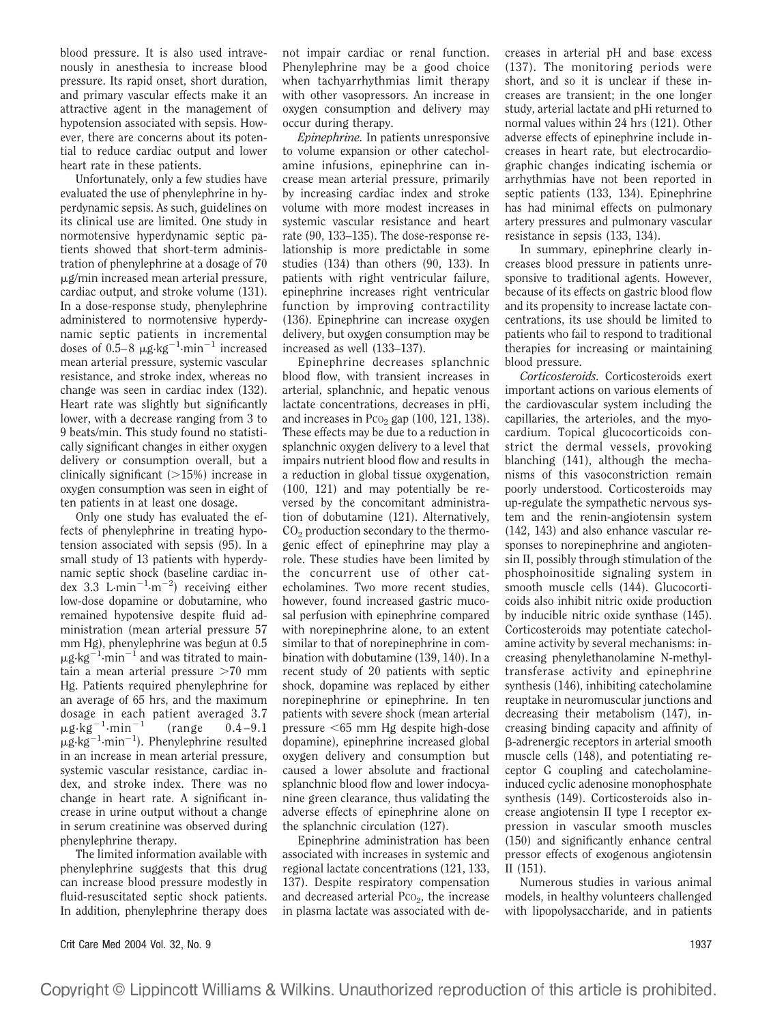blood pressure. It is also used intravenously in anesthesia to increase blood pressure. Its rapid onset, short duration, and primary vascular effects make it an attractive agent in the management of hypotension associated with sepsis. However, there are concerns about its potential to reduce cardiac output and lower heart rate in these patients.

Unfortunately, only a few studies have evaluated the use of phenylephrine in hyperdynamic sepsis. As such, guidelines on its clinical use are limited. One study in normotensive hyperdynamic septic patients showed that short-term administration of phenylephrine at a dosage of 70 g/min increased mean arterial pressure, cardiac output, and stroke volume (131). In a dose-response study, phenylephrine administered to normotensive hyperdynamic septic patients in incremental doses of  $0.5-8 \mu g \cdot kg^{-1}$ ·min<sup>-1</sup> increased mean arterial pressure, systemic vascular resistance, and stroke index, whereas no change was seen in cardiac index (132). Heart rate was slightly but significantly lower, with a decrease ranging from 3 to 9 beats/min. This study found no statistically significant changes in either oxygen delivery or consumption overall, but a clinically significant  $(>15%)$  increase in oxygen consumption was seen in eight of ten patients in at least one dosage.

Only one study has evaluated the effects of phenylephrine in treating hypotension associated with sepsis (95). In a small study of 13 patients with hyperdynamic septic shock (baseline cardiac index 3.3 L $\cdot$ min<sup>-1</sup> $\cdot$ m<sup>-2</sup>) receiving either low-dose dopamine or dobutamine, who remained hypotensive despite fluid administration (mean arterial pressure 57 mm Hg), phenylephrine was begun at 0.5  $\mu$ g·kg<sup>-1</sup>·min<sup>-1</sup> and was titrated to maintain a mean arterial pressure  $>70$  mm Hg. Patients required phenylephrine for an average of 65 hrs, and the maximum dosage in each patient averaged 3.7  $\mu$ g·kg<sup>-1</sup>·min<sup>-1</sup> (range 0.4-9.1)  $\mu$ g·kg<sup>-1</sup>·min<sup>-1</sup>). Phenylephrine resulted in an increase in mean arterial pressure, systemic vascular resistance, cardiac index, and stroke index. There was no change in heart rate. A significant increase in urine output without a change in serum creatinine was observed during phenylephrine therapy.

The limited information available with phenylephrine suggests that this drug can increase blood pressure modestly in fluid-resuscitated septic shock patients. In addition, phenylephrine therapy does not impair cardiac or renal function. Phenylephrine may be a good choice when tachyarrhythmias limit therapy with other vasopressors. An increase in oxygen consumption and delivery may occur during therapy.

*Epinephrine.* In patients unresponsive to volume expansion or other catecholamine infusions, epinephrine can increase mean arterial pressure, primarily by increasing cardiac index and stroke volume with more modest increases in systemic vascular resistance and heart rate (90, 133–135). The dose-response relationship is more predictable in some studies (134) than others (90, 133). In patients with right ventricular failure, epinephrine increases right ventricular function by improving contractility (136). Epinephrine can increase oxygen delivery, but oxygen consumption may be increased as well (133–137).

Epinephrine decreases splanchnic blood flow, with transient increases in arterial, splanchnic, and hepatic venous lactate concentrations, decreases in pHi, and increases in Pco<sub>2</sub> gap  $(100, 121, 138)$ . These effects may be due to a reduction in splanchnic oxygen delivery to a level that impairs nutrient blood flow and results in a reduction in global tissue oxygenation, (100, 121) and may potentially be reversed by the concomitant administration of dobutamine (121). Alternatively,  $CO<sub>2</sub>$  production secondary to the thermogenic effect of epinephrine may play a role. These studies have been limited by the concurrent use of other catecholamines. Two more recent studies, however, found increased gastric mucosal perfusion with epinephrine compared with norepinephrine alone, to an extent similar to that of norepinephrine in combination with dobutamine (139, 140). In a recent study of 20 patients with septic shock, dopamine was replaced by either norepinephrine or epinephrine. In ten patients with severe shock (mean arterial pressure  $\leq 65$  mm Hg despite high-dose dopamine), epinephrine increased global oxygen delivery and consumption but caused a lower absolute and fractional splanchnic blood flow and lower indocyanine green clearance, thus validating the adverse effects of epinephrine alone on the splanchnic circulation (127).

Epinephrine administration has been associated with increases in systemic and regional lactate concentrations (121, 133, 137). Despite respiratory compensation and decreased arterial  $Pco<sub>2</sub>$ , the increase in plasma lactate was associated with decreases in arterial pH and base excess (137). The monitoring periods were short, and so it is unclear if these increases are transient; in the one longer study, arterial lactate and pHi returned to normal values within 24 hrs (121). Other adverse effects of epinephrine include increases in heart rate, but electrocardiographic changes indicating ischemia or arrhythmias have not been reported in septic patients (133, 134). Epinephrine has had minimal effects on pulmonary artery pressures and pulmonary vascular resistance in sepsis (133, 134).

In summary, epinephrine clearly increases blood pressure in patients unresponsive to traditional agents. However, because of its effects on gastric blood flow and its propensity to increase lactate concentrations, its use should be limited to patients who fail to respond to traditional therapies for increasing or maintaining blood pressure.

*Corticosteroids.* Corticosteroids exert important actions on various elements of the cardiovascular system including the capillaries, the arterioles, and the myocardium. Topical glucocorticoids constrict the dermal vessels, provoking blanching (141), although the mechanisms of this vasoconstriction remain poorly understood. Corticosteroids may up-regulate the sympathetic nervous system and the renin-angiotensin system (142, 143) and also enhance vascular responses to norepinephrine and angiotensin II, possibly through stimulation of the phosphoinositide signaling system in smooth muscle cells (144). Glucocorticoids also inhibit nitric oxide production by inducible nitric oxide synthase (145). Corticosteroids may potentiate catecholamine activity by several mechanisms: increasing phenylethanolamine N-methyltransferase activity and epinephrine synthesis (146), inhibiting catecholamine reuptake in neuromuscular junctions and decreasing their metabolism (147), increasing binding capacity and affinity of --adrenergic receptors in arterial smooth muscle cells (148), and potentiating receptor G coupling and catecholamineinduced cyclic adenosine monophosphate synthesis (149). Corticosteroids also increase angiotensin II type I receptor expression in vascular smooth muscles (150) and significantly enhance central pressor effects of exogenous angiotensin II (151).

Numerous studies in various animal models, in healthy volunteers challenged with lipopolysaccharide, and in patients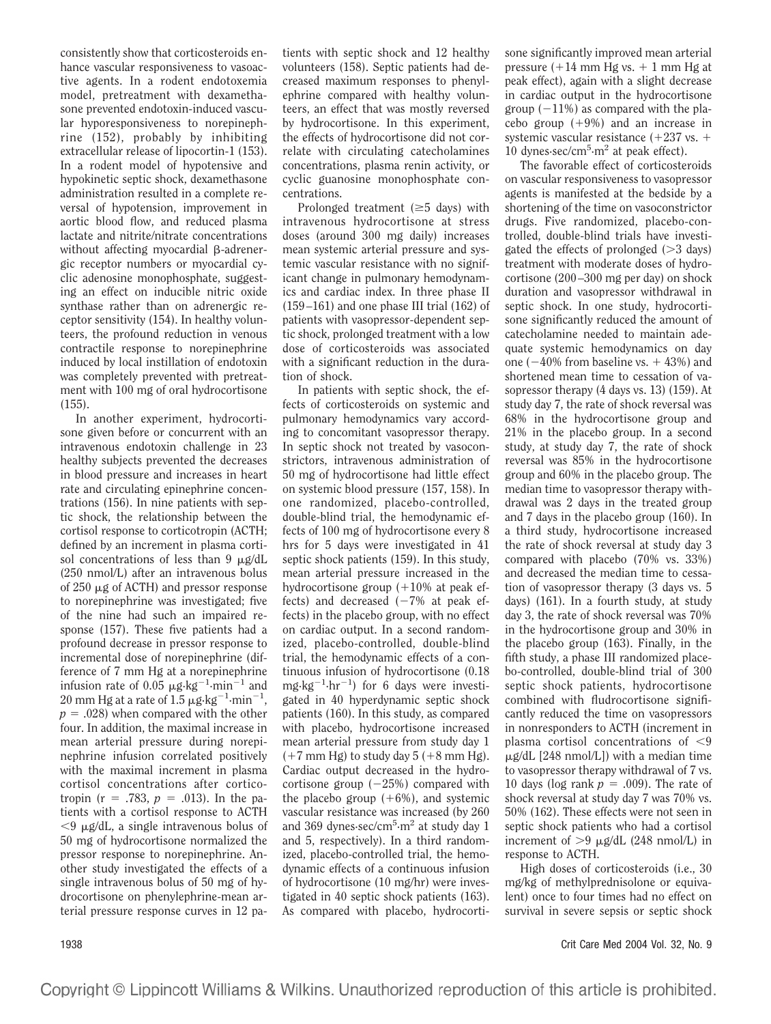consistently show that corticosteroids enhance vascular responsiveness to vasoactive agents. In a rodent endotoxemia model, pretreatment with dexamethasone prevented endotoxin-induced vascular hyporesponsiveness to norepinephrine (152), probably by inhibiting extracellular release of lipocortin-1 (153). In a rodent model of hypotensive and hypokinetic septic shock, dexamethasone administration resulted in a complete reversal of hypotension, improvement in aortic blood flow, and reduced plasma lactate and nitrite/nitrate concentrations without affecting myocardial  $\beta$ -adrenergic receptor numbers or myocardial cyclic adenosine monophosphate, suggesting an effect on inducible nitric oxide synthase rather than on adrenergic receptor sensitivity (154). In healthy volunteers, the profound reduction in venous contractile response to norepinephrine induced by local instillation of endotoxin was completely prevented with pretreatment with 100 mg of oral hydrocortisone (155).

In another experiment, hydrocortisone given before or concurrent with an intravenous endotoxin challenge in 23 healthy subjects prevented the decreases in blood pressure and increases in heart rate and circulating epinephrine concentrations (156). In nine patients with septic shock, the relationship between the cortisol response to corticotropin (ACTH; defined by an increment in plasma cortisol concentrations of less than 9  $\mu$ g/dL (250 nmol/L) after an intravenous bolus of  $250 \mu$ g of ACTH) and pressor response to norepinephrine was investigated; five of the nine had such an impaired response (157). These five patients had a profound decrease in pressor response to incremental dose of norepinephrine (difference of 7 mm Hg at a norepinephrine infusion rate of  $0.05 \mu$ g·kg<sup>-1</sup>·min<sup>-1</sup> and  $20 \text{ mm Hg}$  at a rate of  $1.5 \mu$ g·kg<sup>-1</sup>·min<sup>-1</sup>,  $p = .028$ ) when compared with the other four. In addition, the maximal increase in mean arterial pressure during norepinephrine infusion correlated positively with the maximal increment in plasma cortisol concentrations after corticotropin ( $r = .783$ ,  $p = .013$ ). In the patients with a cortisol response to ACTH  $<$ 9 µg/dL, a single intravenous bolus of 50 mg of hydrocortisone normalized the pressor response to norepinephrine. Another study investigated the effects of a single intravenous bolus of 50 mg of hydrocortisone on phenylephrine-mean arterial pressure response curves in 12 pa-

tients with septic shock and 12 healthy volunteers (158). Septic patients had decreased maximum responses to phenylephrine compared with healthy volunteers, an effect that was mostly reversed by hydrocortisone. In this experiment, the effects of hydrocortisone did not correlate with circulating catecholamines concentrations, plasma renin activity, or cyclic guanosine monophosphate concentrations.

Prolonged treatment  $(\geq 5$  days) with intravenous hydrocortisone at stress doses (around 300 mg daily) increases mean systemic arterial pressure and systemic vascular resistance with no significant change in pulmonary hemodynamics and cardiac index. In three phase II (159–161) and one phase III trial (162) of patients with vasopressor-dependent septic shock, prolonged treatment with a low dose of corticosteroids was associated with a significant reduction in the duration of shock.

In patients with septic shock, the effects of corticosteroids on systemic and pulmonary hemodynamics vary according to concomitant vasopressor therapy. In septic shock not treated by vasoconstrictors, intravenous administration of 50 mg of hydrocortisone had little effect on systemic blood pressure (157, 158). In one randomized, placebo-controlled, double-blind trial, the hemodynamic effects of 100 mg of hydrocortisone every 8 hrs for 5 days were investigated in 41 septic shock patients (159). In this study, mean arterial pressure increased in the hydrocortisone group  $(+10\%$  at peak effects) and decreased  $(-7\%$  at peak effects) in the placebo group, with no effect on cardiac output. In a second randomized, placebo-controlled, double-blind trial, the hemodynamic effects of a continuous infusion of hydrocortisone (0.18 mg $\cdot$ kg<sup>-1</sup> $\cdot$ hr<sup>-1</sup>) for 6 days were investigated in 40 hyperdynamic septic shock patients (160). In this study, as compared with placebo, hydrocortisone increased mean arterial pressure from study day 1  $(+7 \text{ mm Hg})$  to study day  $5 (+8 \text{ mm Hg}).$ Cardiac output decreased in the hydrocortisone group  $(-25%)$  compared with the placebo group  $(+6%)$ , and systemic vascular resistance was increased (by 260 and 369 dynes·sec/cm<sup>5</sup>·m<sup>2</sup> at study day 1 and 5, respectively). In a third randomized, placebo-controlled trial, the hemodynamic effects of a continuous infusion of hydrocortisone (10 mg/hr) were investigated in 40 septic shock patients (163). As compared with placebo, hydrocortisone significantly improved mean arterial pressure  $(+14 \text{ mm Hg vs. } + 1 \text{ mm Hg at})$ peak effect), again with a slight decrease in cardiac output in the hydrocortisone group  $(-11\%)$  as compared with the placebo group  $(+9%)$  and an increase in systemic vascular resistance  $(+237 \text{ vs. } +$ 10 dynes·sec/cm<sup>5</sup>·m<sup>2</sup> at peak effect).

The favorable effect of corticosteroids on vascular responsiveness to vasopressor agents is manifested at the bedside by a shortening of the time on vasoconstrictor drugs. Five randomized, placebo-controlled, double-blind trials have investigated the effects of prolonged  $(>3$  days) treatment with moderate doses of hydrocortisone (200–300 mg per day) on shock duration and vasopressor withdrawal in septic shock. In one study, hydrocortisone significantly reduced the amount of catecholamine needed to maintain adequate systemic hemodynamics on day one  $(-40\%$  from baseline vs.  $+43\%$ ) and shortened mean time to cessation of vasopressor therapy (4 days vs. 13) (159). At study day 7, the rate of shock reversal was 68% in the hydrocortisone group and 21% in the placebo group. In a second study, at study day 7, the rate of shock reversal was 85% in the hydrocortisone group and 60% in the placebo group. The median time to vasopressor therapy withdrawal was 2 days in the treated group and 7 days in the placebo group (160). In a third study, hydrocortisone increased the rate of shock reversal at study day 3 compared with placebo (70% vs. 33%) and decreased the median time to cessation of vasopressor therapy (3 days vs. 5 days) (161). In a fourth study, at study day 3, the rate of shock reversal was 70% in the hydrocortisone group and 30% in the placebo group (163). Finally, in the fifth study, a phase III randomized placebo-controlled, double-blind trial of 300 septic shock patients, hydrocortisone combined with fludrocortisone significantly reduced the time on vasopressors in nonresponders to ACTH (increment in plasma cortisol concentrations of  $\leq$ 9  $\mu$ g/dL [248 nmol/L]) with a median time to vasopressor therapy withdrawal of 7 vs. 10 days (log rank  $p = .009$ ). The rate of shock reversal at study day 7 was 70% vs. 50% (162). These effects were not seen in septic shock patients who had a cortisol increment of  $>9 \mu$ g/dL (248 nmol/L) in response to ACTH.

High doses of corticosteroids (i.e., 30 mg/kg of methylprednisolone or equivalent) once to four times had no effect on survival in severe sepsis or septic shock

#### 1938 Crit Care Med 2004 Vol. 32, No. 9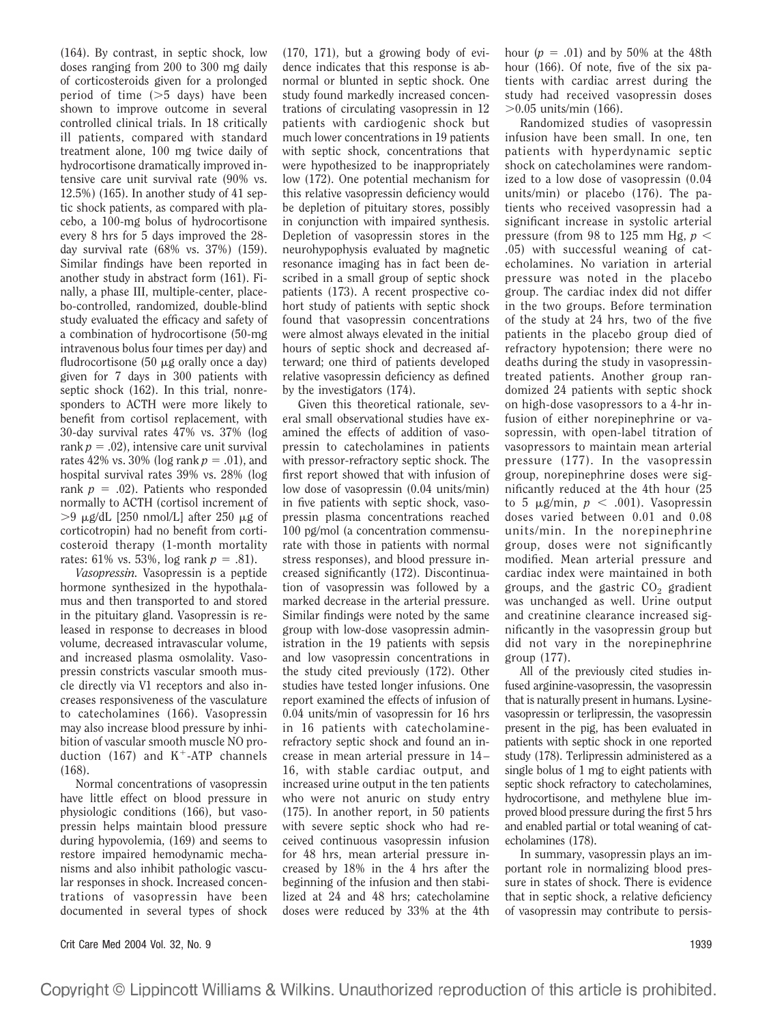(164). By contrast, in septic shock, low doses ranging from 200 to 300 mg daily of corticosteroids given for a prolonged period of time  $(>5$  days) have been shown to improve outcome in several controlled clinical trials. In 18 critically ill patients, compared with standard treatment alone, 100 mg twice daily of hydrocortisone dramatically improved intensive care unit survival rate (90% vs. 12.5%) (165). In another study of 41 septic shock patients, as compared with placebo, a 100-mg bolus of hydrocortisone every 8 hrs for 5 days improved the 28 day survival rate (68% vs. 37%) (159). Similar findings have been reported in another study in abstract form (161). Finally, a phase III, multiple-center, placebo-controlled, randomized, double-blind study evaluated the efficacy and safety of a combination of hydrocortisone (50-mg intravenous bolus four times per day) and fludrocortisone  $(50 \mu g)$  orally once a day) given for 7 days in 300 patients with septic shock (162). In this trial, nonresponders to ACTH were more likely to benefit from cortisol replacement, with 30-day survival rates 47% vs. 37% (log rank  $p = .02$ ), intensive care unit survival rates 42% vs. 30% (log rank  $p = .01$ ), and hospital survival rates 39% vs. 28% (log rank  $p = .02$ ). Patients who responded normally to ACTH (cortisol increment of  $>9 \mu$ g/dL [250 nmol/L] after 250  $\mu$ g of corticotropin) had no benefit from corticosteroid therapy (1-month mortality rates: 61% vs. 53%, log rank  $p = .81$ ). *Vasopressin.* Vasopressin is a peptide

hormone synthesized in the hypothalamus and then transported to and stored in the pituitary gland. Vasopressin is released in response to decreases in blood volume, decreased intravascular volume, and increased plasma osmolality. Vasopressin constricts vascular smooth muscle directly via V1 receptors and also increases responsiveness of the vasculature to catecholamines (166). Vasopressin may also increase blood pressure by inhibition of vascular smooth muscle NO production (167) and  $K^+$ -ATP channels (168).

Normal concentrations of vasopressin have little effect on blood pressure in physiologic conditions (166), but vasopressin helps maintain blood pressure during hypovolemia, (169) and seems to restore impaired hemodynamic mechanisms and also inhibit pathologic vascular responses in shock. Increased concentrations of vasopressin have been documented in several types of shock

(170, 171), but a growing body of evidence indicates that this response is abnormal or blunted in septic shock. One study found markedly increased concentrations of circulating vasopressin in 12 patients with cardiogenic shock but much lower concentrations in 19 patients with septic shock, concentrations that were hypothesized to be inappropriately low (172). One potential mechanism for this relative vasopressin deficiency would be depletion of pituitary stores, possibly in conjunction with impaired synthesis. Depletion of vasopressin stores in the neurohypophysis evaluated by magnetic resonance imaging has in fact been described in a small group of septic shock patients (173). A recent prospective cohort study of patients with septic shock found that vasopressin concentrations were almost always elevated in the initial hours of septic shock and decreased afterward; one third of patients developed relative vasopressin deficiency as defined by the investigators (174).

Given this theoretical rationale, several small observational studies have examined the effects of addition of vasopressin to catecholamines in patients with pressor-refractory septic shock. The first report showed that with infusion of low dose of vasopressin (0.04 units/min) in five patients with septic shock, vasopressin plasma concentrations reached 100 pg/mol (a concentration commensurate with those in patients with normal stress responses), and blood pressure increased significantly (172). Discontinuation of vasopressin was followed by a marked decrease in the arterial pressure. Similar findings were noted by the same group with low-dose vasopressin administration in the 19 patients with sepsis and low vasopressin concentrations in the study cited previously (172). Other studies have tested longer infusions. One report examined the effects of infusion of 0.04 units/min of vasopressin for 16 hrs in 16 patients with catecholaminerefractory septic shock and found an increase in mean arterial pressure in 14– 16, with stable cardiac output, and increased urine output in the ten patients who were not anuric on study entry (175). In another report, in 50 patients with severe septic shock who had received continuous vasopressin infusion for 48 hrs, mean arterial pressure increased by 18% in the 4 hrs after the beginning of the infusion and then stabilized at 24 and 48 hrs; catecholamine doses were reduced by 33% at the 4th

hour  $(p = .01)$  and by 50% at the 48th hour (166). Of note, five of the six patients with cardiac arrest during the study had received vasopressin doses  $>0.05$  units/min (166).

Randomized studies of vasopressin infusion have been small. In one, ten patients with hyperdynamic septic shock on catecholamines were randomized to a low dose of vasopressin (0.04 units/min) or placebo (176). The patients who received vasopressin had a significant increase in systolic arterial pressure (from 98 to 125 mm Hg, *p* .05) with successful weaning of catecholamines. No variation in arterial pressure was noted in the placebo group. The cardiac index did not differ in the two groups. Before termination of the study at 24 hrs, two of the five patients in the placebo group died of refractory hypotension; there were no deaths during the study in vasopressintreated patients. Another group randomized 24 patients with septic shock on high-dose vasopressors to a 4-hr infusion of either norepinephrine or vasopressin, with open-label titration of vasopressors to maintain mean arterial pressure (177). In the vasopressin group, norepinephrine doses were significantly reduced at the 4th hour (25 to 5  $\mu$ g/min,  $p < .001$ ). Vasopressin doses varied between 0.01 and 0.08 units/min. In the norepinephrine group, doses were not significantly modified. Mean arterial pressure and cardiac index were maintained in both groups, and the gastric  $CO<sub>2</sub>$  gradient was unchanged as well. Urine output and creatinine clearance increased significantly in the vasopressin group but did not vary in the norepinephrine group (177).

All of the previously cited studies infused arginine-vasopressin, the vasopressin that is naturally present in humans. Lysinevasopressin or terlipressin, the vasopressin present in the pig, has been evaluated in patients with septic shock in one reported study (178). Terlipressin administered as a single bolus of 1 mg to eight patients with septic shock refractory to catecholamines, hydrocortisone, and methylene blue improved blood pressure during the first 5 hrs and enabled partial or total weaning of catecholamines (178).

In summary, vasopressin plays an important role in normalizing blood pressure in states of shock. There is evidence that in septic shock, a relative deficiency of vasopressin may contribute to persis-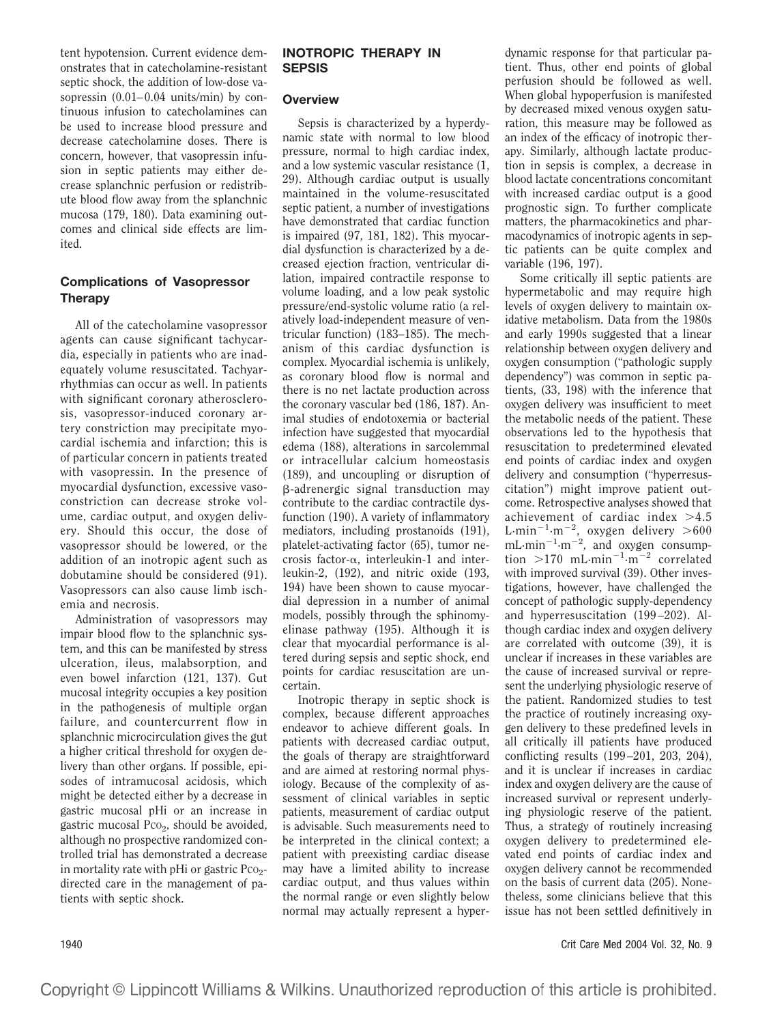tent hypotension. Current evidence demonstrates that in catecholamine-resistant septic shock, the addition of low-dose vasopressin  $(0.01-0.04 \text{ units/min})$  by continuous infusion to catecholamines can be used to increase blood pressure and decrease catecholamine doses. There is concern, however, that vasopressin infusion in septic patients may either decrease splanchnic perfusion or redistribute blood flow away from the splanchnic mucosa (179, 180). Data examining outcomes and clinical side effects are limited.

# **Complications of Vasopressor Therapy**

All of the catecholamine vasopressor agents can cause significant tachycardia, especially in patients who are inadequately volume resuscitated. Tachyarrhythmias can occur as well. In patients with significant coronary atherosclerosis, vasopressor-induced coronary artery constriction may precipitate myocardial ischemia and infarction; this is of particular concern in patients treated with vasopressin. In the presence of myocardial dysfunction, excessive vasoconstriction can decrease stroke volume, cardiac output, and oxygen delivery. Should this occur, the dose of vasopressor should be lowered, or the addition of an inotropic agent such as dobutamine should be considered (91). Vasopressors can also cause limb ischemia and necrosis.

Administration of vasopressors may impair blood flow to the splanchnic system, and this can be manifested by stress ulceration, ileus, malabsorption, and even bowel infarction (121, 137). Gut mucosal integrity occupies a key position in the pathogenesis of multiple organ failure, and countercurrent flow in splanchnic microcirculation gives the gut a higher critical threshold for oxygen delivery than other organs. If possible, episodes of intramucosal acidosis, which might be detected either by a decrease in gastric mucosal pHi or an increase in gastric mucosal  $PCO<sub>2</sub>$ , should be avoided, although no prospective randomized controlled trial has demonstrated a decrease in mortality rate with pHi or gastric  $PCO<sub>2</sub>$ directed care in the management of patients with septic shock.

## **INOTROPIC THERAPY IN SEPSIS**

## **Overview**

Sepsis is characterized by a hyperdynamic state with normal to low blood pressure, normal to high cardiac index, and a low systemic vascular resistance (1, 29). Although cardiac output is usually maintained in the volume-resuscitated septic patient, a number of investigations have demonstrated that cardiac function is impaired (97, 181, 182). This myocardial dysfunction is characterized by a decreased ejection fraction, ventricular dilation, impaired contractile response to volume loading, and a low peak systolic pressure/end-systolic volume ratio (a relatively load-independent measure of ventricular function) (183–185). The mechanism of this cardiac dysfunction is complex. Myocardial ischemia is unlikely, as coronary blood flow is normal and there is no net lactate production across the coronary vascular bed (186, 187). Animal studies of endotoxemia or bacterial infection have suggested that myocardial edema (188), alterations in sarcolemmal or intracellular calcium homeostasis (189), and uncoupling or disruption of --adrenergic signal transduction may contribute to the cardiac contractile dysfunction (190). A variety of inflammatory mediators, including prostanoids (191), platelet-activating factor (65), tumor necrosis factor- $\alpha$ , interleukin-1 and interleukin-2, (192), and nitric oxide (193, 194) have been shown to cause myocardial depression in a number of animal models, possibly through the sphinomyelinase pathway (195). Although it is clear that myocardial performance is altered during sepsis and septic shock, end points for cardiac resuscitation are uncertain.

Inotropic therapy in septic shock is complex, because different approaches endeavor to achieve different goals. In patients with decreased cardiac output, the goals of therapy are straightforward and are aimed at restoring normal physiology. Because of the complexity of assessment of clinical variables in septic patients, measurement of cardiac output is advisable. Such measurements need to be interpreted in the clinical context; a patient with preexisting cardiac disease may have a limited ability to increase cardiac output, and thus values within the normal range or even slightly below normal may actually represent a hyper-

dynamic response for that particular patient. Thus, other end points of global perfusion should be followed as well. When global hypoperfusion is manifested by decreased mixed venous oxygen saturation, this measure may be followed as an index of the efficacy of inotropic therapy. Similarly, although lactate production in sepsis is complex, a decrease in blood lactate concentrations concomitant with increased cardiac output is a good prognostic sign. To further complicate matters, the pharmacokinetics and pharmacodynamics of inotropic agents in septic patients can be quite complex and variable (196, 197).

Some critically ill septic patients are hypermetabolic and may require high levels of oxygen delivery to maintain oxidative metabolism. Data from the 1980s and early 1990s suggested that a linear relationship between oxygen delivery and oxygen consumption ("pathologic supply dependency") was common in septic patients, (33, 198) with the inference that oxygen delivery was insufficient to meet the metabolic needs of the patient. These observations led to the hypothesis that resuscitation to predetermined elevated end points of cardiac index and oxygen delivery and consumption ("hyperresuscitation") might improve patient outcome. Retrospective analyses showed that achievement of cardiac index  $>4.5$ L·min<sup>-1</sup>·m<sup>-2</sup>, oxygen delivery  $>600$  $mL·min^{-1}·m^{-2}$ , and oxygen consumption >170 mL·min<sup>-1</sup>·m<sup>-2</sup> correlated with improved survival (39). Other investigations, however, have challenged the concept of pathologic supply-dependency and hyperresuscitation (199 –202). Although cardiac index and oxygen delivery are correlated with outcome (39), it is unclear if increases in these variables are the cause of increased survival or represent the underlying physiologic reserve of the patient. Randomized studies to test the practice of routinely increasing oxygen delivery to these predefined levels in all critically ill patients have produced conflicting results (199–201, 203, 204), and it is unclear if increases in cardiac index and oxygen delivery are the cause of increased survival or represent underlying physiologic reserve of the patient. Thus, a strategy of routinely increasing oxygen delivery to predetermined elevated end points of cardiac index and oxygen delivery cannot be recommended on the basis of current data (205). Nonetheless, some clinicians believe that this issue has not been settled definitively in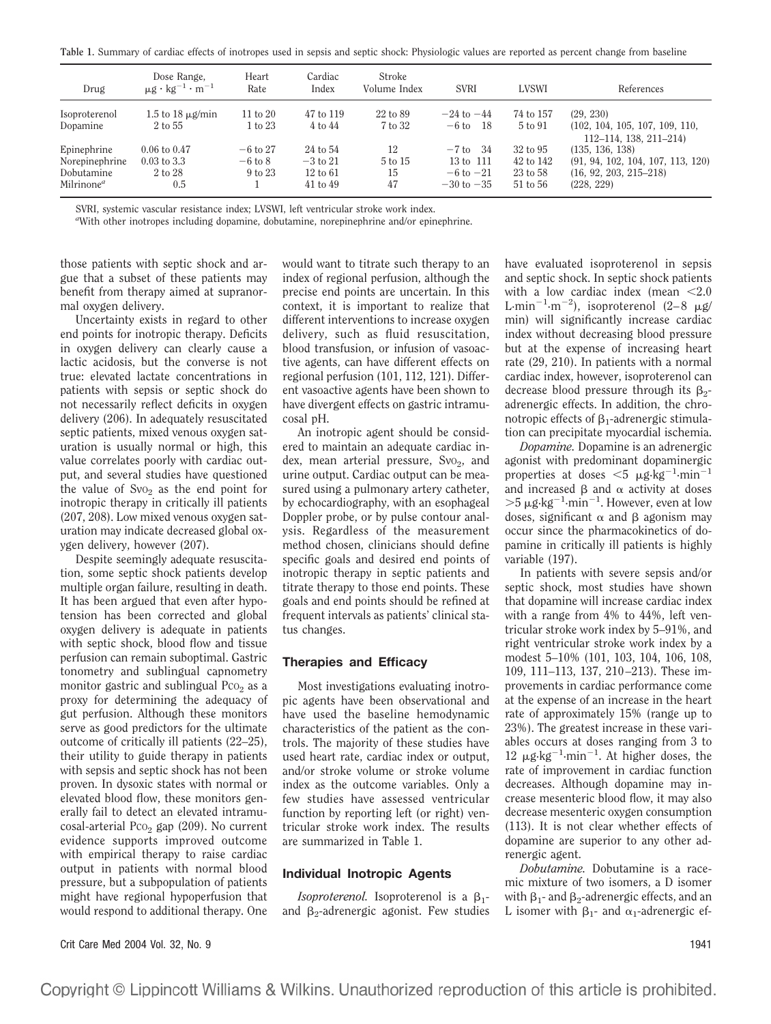**Table 1.** Summary of cardiac effects of inotropes used in sepsis and septic shock: Physiologic values are reported as percent change from baseline

| Drug                   | Dose Range,<br>$\mu$ g·kg <sup>-1</sup> ·m <sup>-1</sup> | Heart<br>Rate | Cardiac<br>Index    | Stroke<br>Volume Index | <b>SVRI</b>    | <b>LVSWI</b> | References                        |
|------------------------|----------------------------------------------------------|---------------|---------------------|------------------------|----------------|--------------|-----------------------------------|
| <i>Isoproterenol</i>   | $1.5$ to $18 \mu$ g/min                                  | $11$ to $20$  | 47 to 119           | 22 to 89               | $-24$ to $-44$ | 74 to 157    | (29, 230)                         |
| Dopamine               | 2 to 55                                                  | 1 to 23       | $4$ to $44$         | 7 to 32                | $-6t0$ 18      | 5 to 91      | (102, 104, 105, 107, 109, 110,    |
|                        |                                                          |               |                     |                        |                |              | $112 - 114$ , 138, 211-214)       |
| Epinephrine            | $0.06 \text{ to } 0.47$                                  | $-6$ to 27    | 24 to 54            | 12                     | $-7$ to $34$   | 32 to 95     | (135, 136, 138)                   |
| Norepinephrine         | $0.03 \text{ to } 3.3$                                   | $-6$ to $8$   | $-3$ to 21          | 5 to 15                | 13 to 111      | 42 to 142    | (91, 94, 102, 104, 107, 113, 120) |
| Dobutamine             | 2 to 28                                                  | 9 to 23       | $12 \text{ to } 61$ | 15                     | $-6$ to $-21$  | 23 to 58     | $(16, 92, 203, 215 - 218)$        |
| Milrinone <sup>a</sup> | 0.5                                                      |               | 41 to 49            | 47                     | $-30$ to $-35$ | 51 to 56     | (228, 229)                        |

SVRI, systemic vascular resistance index; LVSWI, left ventricular stroke work index.

*a* With other inotropes including dopamine, dobutamine, norepinephrine and/or epinephrine.

those patients with septic shock and argue that a subset of these patients may benefit from therapy aimed at supranormal oxygen delivery.

Uncertainty exists in regard to other end points for inotropic therapy. Deficits in oxygen delivery can clearly cause a lactic acidosis, but the converse is not true: elevated lactate concentrations in patients with sepsis or septic shock do not necessarily reflect deficits in oxygen delivery (206). In adequately resuscitated septic patients, mixed venous oxygen saturation is usually normal or high, this value correlates poorly with cardiac output, and several studies have questioned the value of  $Svo<sub>2</sub>$  as the end point for inotropic therapy in critically ill patients (207, 208). Low mixed venous oxygen saturation may indicate decreased global oxygen delivery, however (207).

Despite seemingly adequate resuscitation, some septic shock patients develop multiple organ failure, resulting in death. It has been argued that even after hypotension has been corrected and global oxygen delivery is adequate in patients with septic shock, blood flow and tissue perfusion can remain suboptimal. Gastric tonometry and sublingual capnometry monitor gastric and sublingual  $P_{C_2}$  as a proxy for determining the adequacy of gut perfusion. Although these monitors serve as good predictors for the ultimate outcome of critically ill patients (22–25), their utility to guide therapy in patients with sepsis and septic shock has not been proven. In dysoxic states with normal or elevated blood flow, these monitors generally fail to detect an elevated intramucosal-arterial  $PCO<sub>2</sub>$  gap (209). No current evidence supports improved outcome with empirical therapy to raise cardiac output in patients with normal blood pressure, but a subpopulation of patients might have regional hypoperfusion that would respond to additional therapy. One

would want to titrate such therapy to an index of regional perfusion, although the precise end points are uncertain. In this context, it is important to realize that different interventions to increase oxygen delivery, such as fluid resuscitation, blood transfusion, or infusion of vasoactive agents, can have different effects on regional perfusion (101, 112, 121). Different vasoactive agents have been shown to have divergent effects on gastric intramucosal pH.

An inotropic agent should be considered to maintain an adequate cardiac index, mean arterial pressure,  $Svo<sub>2</sub>$ , and urine output. Cardiac output can be measured using a pulmonary artery catheter, by echocardiography, with an esophageal Doppler probe, or by pulse contour analysis. Regardless of the measurement method chosen, clinicians should define specific goals and desired end points of inotropic therapy in septic patients and titrate therapy to those end points. These goals and end points should be refined at frequent intervals as patients' clinical status changes.

#### **Therapies and Efficacy**

Most investigations evaluating inotropic agents have been observational and have used the baseline hemodynamic characteristics of the patient as the controls. The majority of these studies have used heart rate, cardiac index or output, and/or stroke volume or stroke volume index as the outcome variables. Only a few studies have assessed ventricular function by reporting left (or right) ventricular stroke work index. The results are summarized in Table 1.

#### **Individual Inotropic Agents**

*Isoproterenol.* Isoproterenol is a  $\beta_1$ and  $\beta_2$ -adrenergic agonist. Few studies have evaluated isoproterenol in sepsis and septic shock. In septic shock patients with a low cardiac index (mean  $\leq 2.0$ L·min<sup>-1</sup>·m<sup>-2</sup>), isoproterenol (2-8  $\mu$ g/ min) will significantly increase cardiac index without decreasing blood pressure but at the expense of increasing heart rate (29, 210). In patients with a normal cardiac index, however, isoproterenol can decrease blood pressure through its  $\beta_2$ adrenergic effects. In addition, the chronotropic effects of  $\beta_1$ -adrenergic stimulation can precipitate myocardial ischemia.

*Dopamine.* Dopamine is an adrenergic agonist with predominant dopaminergic properties at doses  $\leq 5$   $\mu$ g·kg<sup>-1</sup>·min<sup>-1</sup> and increased  $\beta$  and  $\alpha$  activity at doses  $>$ 5 µg·kg<sup>-1</sup>·min<sup>-1</sup>. However, even at low doses, significant  $\alpha$  and  $\beta$  agonism may occur since the pharmacokinetics of dopamine in critically ill patients is highly variable (197).

In patients with severe sepsis and/or septic shock, most studies have shown that dopamine will increase cardiac index with a range from 4% to 44%, left ventricular stroke work index by 5–91%, and right ventricular stroke work index by a modest 5–10% (101, 103, 104, 106, 108, 109, 111–113, 137, 210–213). These improvements in cardiac performance come at the expense of an increase in the heart rate of approximately 15% (range up to 23%). The greatest increase in these variables occurs at doses ranging from 3 to 12  $\mu$ g·kg<sup>-1</sup>·min<sup>-1</sup>. At higher doses, the rate of improvement in cardiac function decreases. Although dopamine may increase mesenteric blood flow, it may also decrease mesenteric oxygen consumption (113). It is not clear whether effects of dopamine are superior to any other adrenergic agent.

*Dobutamine.* Dobutamine is a racemic mixture of two isomers, a D isomer with  $\beta_1$ - and  $\beta_2$ -adrenergic effects, and an L isomer with  $\beta_1$ - and  $\alpha_1$ -adrenergic ef-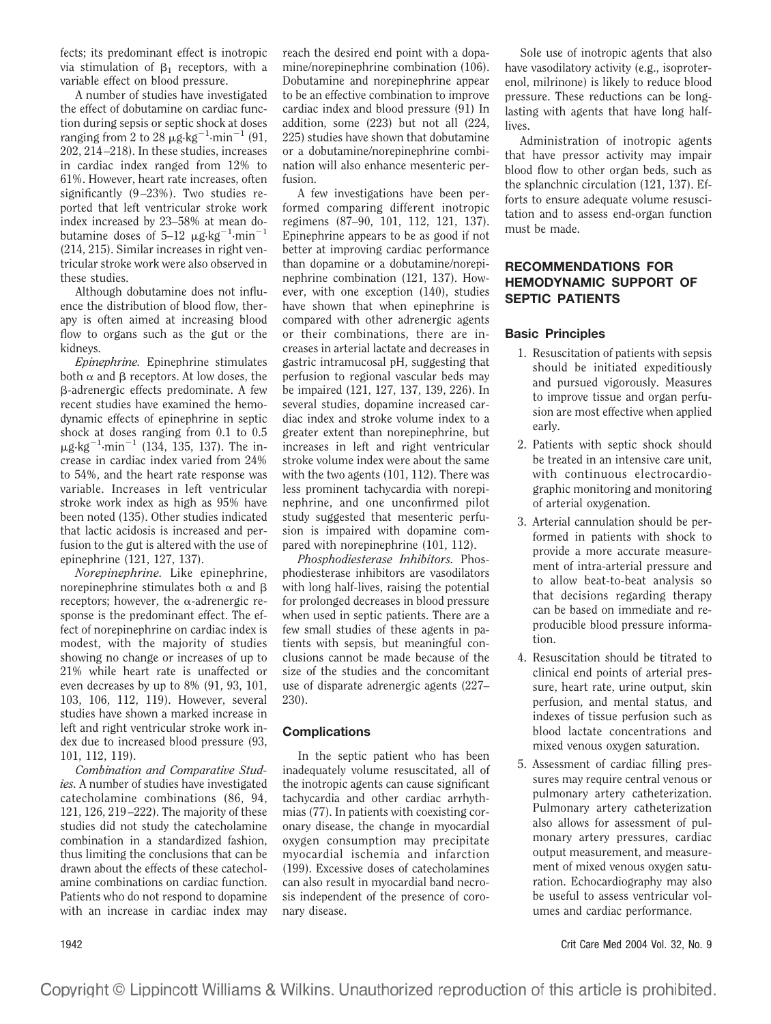fects; its predominant effect is inotropic via stimulation of  $\beta_1$  receptors, with a variable effect on blood pressure.

A number of studies have investigated the effect of dobutamine on cardiac function during sepsis or septic shock at doses ranging from 2 to 28  $\mu$ g·kg<sup>-1</sup>·min<sup>-1</sup> (91, 202, 214–218). In these studies, increases in cardiac index ranged from 12% to 61%. However, heart rate increases, often significantly (9–23%). Two studies reported that left ventricular stroke work index increased by 23–58% at mean dobutamine doses of  $5-12 \mu$ g·kg<sup>-1</sup>·min<sup>-1</sup> (214, 215). Similar increases in right ventricular stroke work were also observed in these studies.

Although dobutamine does not influence the distribution of blood flow, therapy is often aimed at increasing blood flow to organs such as the gut or the kidneys.

*Epinephrine.* Epinephrine stimulates both  $\alpha$  and  $\beta$  receptors. At low doses, the --adrenergic effects predominate. A few recent studies have examined the hemodynamic effects of epinephrine in septic shock at doses ranging from 0.1 to 0.5  $\mu$ g·kg<sup>-1</sup>·min<sup>-1</sup> (134, 135, 137). The increase in cardiac index varied from 24% to 54%, and the heart rate response was variable. Increases in left ventricular stroke work index as high as 95% have been noted (135). Other studies indicated that lactic acidosis is increased and perfusion to the gut is altered with the use of epinephrine (121, 127, 137).

*Norepinephrine.* Like epinephrine, norepinephrine stimulates both  $\alpha$  and  $\beta$ receptors; however, the  $\alpha$ -adrenergic response is the predominant effect. The effect of norepinephrine on cardiac index is modest, with the majority of studies showing no change or increases of up to 21% while heart rate is unaffected or even decreases by up to 8% (91, 93, 101, 103, 106, 112, 119). However, several studies have shown a marked increase in left and right ventricular stroke work index due to increased blood pressure (93, 101, 112, 119).

*Combination and Comparative Studies.* A number of studies have investigated catecholamine combinations (86, 94, 121, 126, 219–222). The majority of these studies did not study the catecholamine combination in a standardized fashion, thus limiting the conclusions that can be drawn about the effects of these catecholamine combinations on cardiac function. Patients who do not respond to dopamine with an increase in cardiac index may

reach the desired end point with a dopamine/norepinephrine combination (106). Dobutamine and norepinephrine appear to be an effective combination to improve cardiac index and blood pressure (91) In addition, some (223) but not all (224, 225) studies have shown that dobutamine or a dobutamine/norepinephrine combination will also enhance mesenteric perfusion.

A few investigations have been performed comparing different inotropic regimens (87–90, 101, 112, 121, 137). Epinephrine appears to be as good if not better at improving cardiac performance than dopamine or a dobutamine/norepinephrine combination (121, 137). However, with one exception (140), studies have shown that when epinephrine is compared with other adrenergic agents or their combinations, there are increases in arterial lactate and decreases in gastric intramucosal pH, suggesting that perfusion to regional vascular beds may be impaired (121, 127, 137, 139, 226). In several studies, dopamine increased cardiac index and stroke volume index to a greater extent than norepinephrine, but increases in left and right ventricular stroke volume index were about the same with the two agents (101, 112). There was less prominent tachycardia with norepinephrine, and one unconfirmed pilot study suggested that mesenteric perfusion is impaired with dopamine compared with norepinephrine (101, 112).

*Phosphodiesterase Inhibitors.* Phosphodiesterase inhibitors are vasodilators with long half-lives, raising the potential for prolonged decreases in blood pressure when used in septic patients. There are a few small studies of these agents in patients with sepsis, but meaningful conclusions cannot be made because of the size of the studies and the concomitant use of disparate adrenergic agents (227– 230).

# **Complications**

In the septic patient who has been inadequately volume resuscitated, all of the inotropic agents can cause significant tachycardia and other cardiac arrhythmias (77). In patients with coexisting coronary disease, the change in myocardial oxygen consumption may precipitate myocardial ischemia and infarction (199). Excessive doses of catecholamines can also result in myocardial band necrosis independent of the presence of coronary disease.

Sole use of inotropic agents that also have vasodilatory activity (e.g., isoproterenol, milrinone) is likely to reduce blood pressure. These reductions can be longlasting with agents that have long halflives.

Administration of inotropic agents that have pressor activity may impair blood flow to other organ beds, such as the splanchnic circulation (121, 137). Efforts to ensure adequate volume resuscitation and to assess end-organ function must be made.

# **RECOMMENDATIONS FOR HEMODYNAMIC SUPPORT OF SEPTIC PATIENTS**

# **Basic Principles**

- 1. Resuscitation of patients with sepsis should be initiated expeditiously and pursued vigorously. Measures to improve tissue and organ perfusion are most effective when applied early.
- 2. Patients with septic shock should be treated in an intensive care unit, with continuous electrocardiographic monitoring and monitoring of arterial oxygenation.
- 3. Arterial cannulation should be performed in patients with shock to provide a more accurate measurement of intra-arterial pressure and to allow beat-to-beat analysis so that decisions regarding therapy can be based on immediate and reproducible blood pressure information.
- 4. Resuscitation should be titrated to clinical end points of arterial pressure, heart rate, urine output, skin perfusion, and mental status, and indexes of tissue perfusion such as blood lactate concentrations and mixed venous oxygen saturation.
- 5. Assessment of cardiac filling pressures may require central venous or pulmonary artery catheterization. Pulmonary artery catheterization also allows for assessment of pulmonary artery pressures, cardiac output measurement, and measurement of mixed venous oxygen saturation. Echocardiography may also be useful to assess ventricular volumes and cardiac performance.

1942 Crit Care Med 2004 Vol. 32, No. 9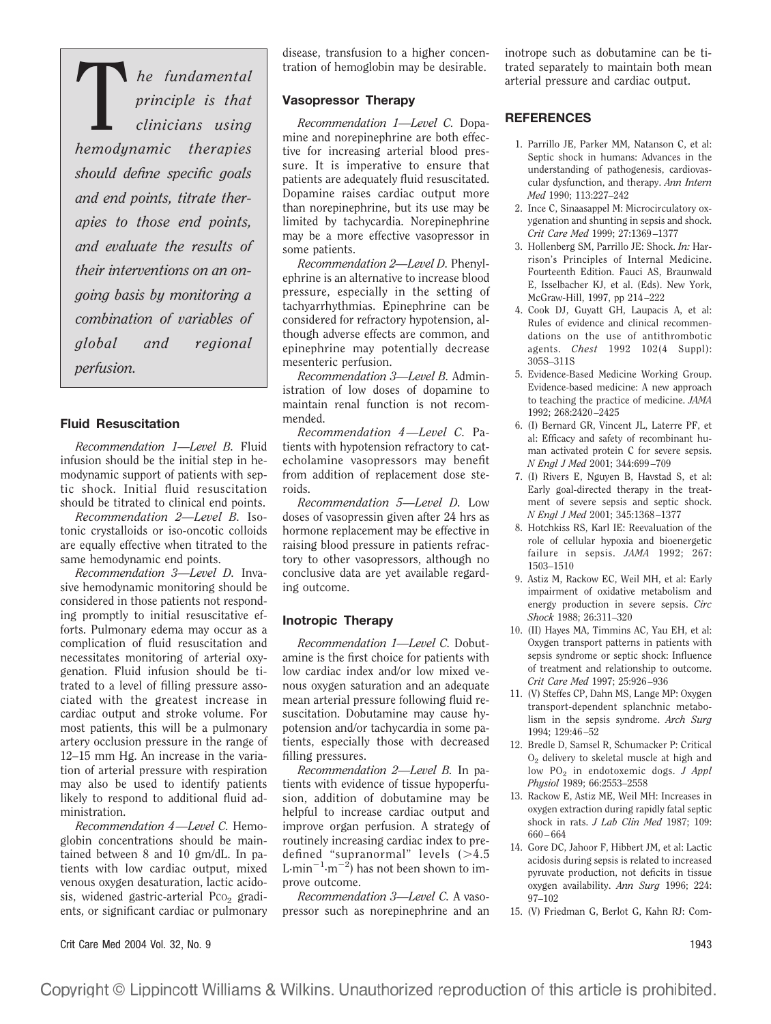T*he fundamental principle is that clinicians using hemodynamic therapies should define specific goals and end points, titrate therapies to those end points, and evaluate the results of their interventions on an ongoing basis by monitoring a combination of variables of global and regional perfusion.*

#### **Fluid Resuscitation**

*Recommendation 1—Level B.* Fluid infusion should be the initial step in hemodynamic support of patients with septic shock. Initial fluid resuscitation should be titrated to clinical end points.

*Recommendation 2—Level B.* Isotonic crystalloids or iso-oncotic colloids are equally effective when titrated to the same hemodynamic end points.

*Recommendation 3—Level D.* Invasive hemodynamic monitoring should be considered in those patients not responding promptly to initial resuscitative efforts. Pulmonary edema may occur as a complication of fluid resuscitation and necessitates monitoring of arterial oxygenation. Fluid infusion should be titrated to a level of filling pressure associated with the greatest increase in cardiac output and stroke volume. For most patients, this will be a pulmonary artery occlusion pressure in the range of 12–15 mm Hg. An increase in the variation of arterial pressure with respiration may also be used to identify patients likely to respond to additional fluid administration.

*Recommendation 4—Level C.* Hemoglobin concentrations should be maintained between 8 and 10 gm/dL. In patients with low cardiac output, mixed venous oxygen desaturation, lactic acidosis, widened gastric-arterial  $PCO<sub>2</sub>$  gradients, or significant cardiac or pulmonary disease, transfusion to a higher concentration of hemoglobin may be desirable.

## **Vasopressor Therapy**

*Recommendation 1—Level C.* Dopamine and norepinephrine are both effective for increasing arterial blood pressure. It is imperative to ensure that patients are adequately fluid resuscitated. Dopamine raises cardiac output more than norepinephrine, but its use may be limited by tachycardia. Norepinephrine may be a more effective vasopressor in some patients.

*Recommendation 2—Level D.* Phenylephrine is an alternative to increase blood pressure, especially in the setting of tachyarrhythmias. Epinephrine can be considered for refractory hypotension, although adverse effects are common, and epinephrine may potentially decrease mesenteric perfusion.

*Recommendation 3—Level B.* Administration of low doses of dopamine to maintain renal function is not recommended.

*Recommendation 4—Level C.* Patients with hypotension refractory to catecholamine vasopressors may benefit from addition of replacement dose steroids.

*Recommendation 5—Level D.* Low doses of vasopressin given after 24 hrs as hormone replacement may be effective in raising blood pressure in patients refractory to other vasopressors, although no conclusive data are yet available regarding outcome.

#### **Inotropic Therapy**

*Recommendation 1—Level C.* Dobutamine is the first choice for patients with low cardiac index and/or low mixed venous oxygen saturation and an adequate mean arterial pressure following fluid resuscitation. Dobutamine may cause hypotension and/or tachycardia in some patients, especially those with decreased filling pressures.

*Recommendation 2—Level B.* In patients with evidence of tissue hypoperfusion, addition of dobutamine may be helpful to increase cardiac output and improve organ perfusion. A strategy of routinely increasing cardiac index to predefined "supranormal" levels  $(>4.5$ L·min<sup>-1</sup>·m<sup>-2</sup>) has not been shown to improve outcome.

*Recommendation 3—Level C.* A vasopressor such as norepinephrine and an inotrope such as dobutamine can be titrated separately to maintain both mean arterial pressure and cardiac output.

#### **REFERENCES**

- 1. Parrillo JE, Parker MM, Natanson C, et al: Septic shock in humans: Advances in the understanding of pathogenesis, cardiovascular dysfunction, and therapy. *Ann Intern Med* 1990; 113:227–242
- 2. Ince C, Sinaasappel M: Microcirculatory oxygenation and shunting in sepsis and shock. *Crit Care Med* 1999; 27:1369–1377
- 3. Hollenberg SM, Parrillo JE: Shock. *In:* Harrison's Principles of Internal Medicine. Fourteenth Edition. Fauci AS, Braunwald E, Isselbacher KJ, et al. (Eds). New York, McGraw-Hill, 1997, pp 214–222
- 4. Cook DJ, Guyatt GH, Laupacis A, et al: Rules of evidence and clinical recommendations on the use of antithrombotic agents. *Chest* 1992 102(4 Suppl): 305S–311S
- 5. Evidence-Based Medicine Working Group. Evidence-based medicine: A new approach to teaching the practice of medicine. *JAMA* 1992; 268:2420–2425
- 6. (I) Bernard GR, Vincent JL, Laterre PF, et al: Efficacy and safety of recombinant human activated protein C for severe sepsis. *N Engl J Med* 2001; 344:699–709
- 7. (I) Rivers E, Nguyen B, Havstad S, et al: Early goal-directed therapy in the treatment of severe sepsis and septic shock. *N Engl J Med* 2001; 345:1368–1377
- 8. Hotchkiss RS, Karl IE: Reevaluation of the role of cellular hypoxia and bioenergetic failure in sepsis. *JAMA* 1992; 267: 1503–1510
- 9. Astiz M, Rackow EC, Weil MH, et al: Early impairment of oxidative metabolism and energy production in severe sepsis. *Circ Shock* 1988; 26:311–320
- 10. (II) Hayes MA, Timmins AC, Yau EH, et al: Oxygen transport patterns in patients with sepsis syndrome or septic shock: Influence of treatment and relationship to outcome. *Crit Care Med* 1997; 25:926–936
- 11. (V) Steffes CP, Dahn MS, Lange MP: Oxygen transport-dependent splanchnic metabolism in the sepsis syndrome. *Arch Surg* 1994; 129:46–52
- 12. Bredle D, Samsel R, Schumacker P: Critical  $O<sub>2</sub>$  delivery to skeletal muscle at high and low PO<sub>2</sub> in endotoxemic dogs. *J Appl Physiol* 1989; 66:2553–2558
- 13. Rackow E, Astiz ME, Weil MH: Increases in oxygen extraction during rapidly fatal septic shock in rats. *J Lab Clin Med* 1987; 109: 660–664
- 14. Gore DC, Jahoor F, Hibbert JM, et al: Lactic acidosis during sepsis is related to increased pyruvate production, not deficits in tissue oxygen availability. *Ann Surg* 1996; 224: 97–102
- 15. (V) Friedman G, Berlot G, Kahn RJ: Com-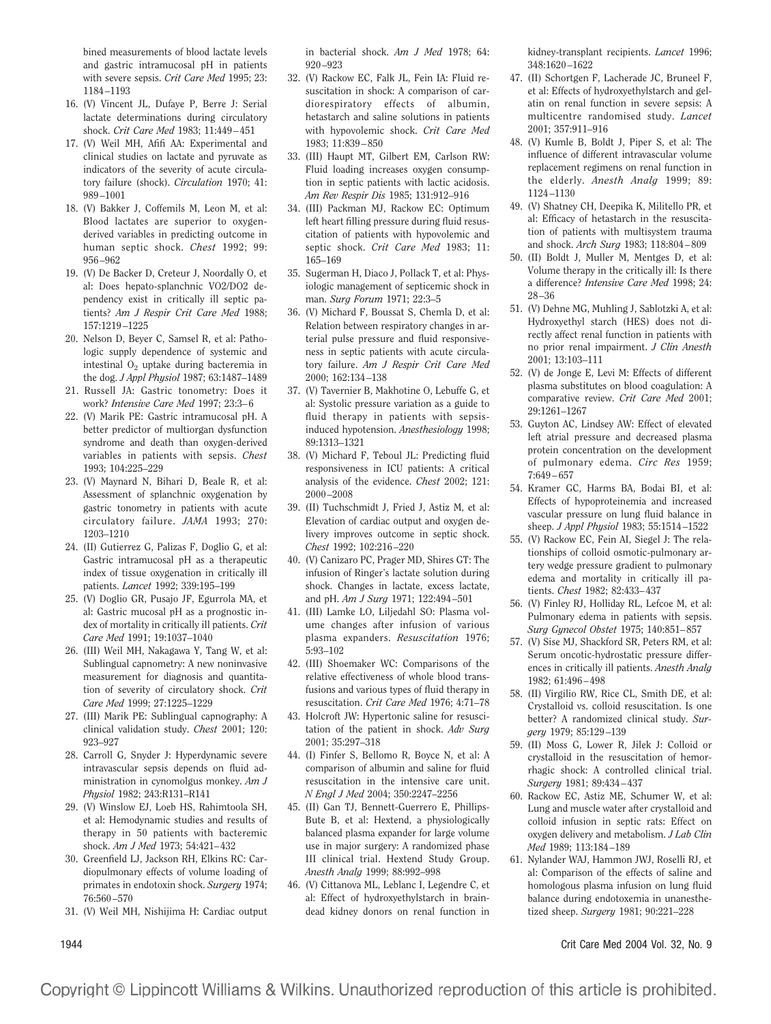bined measurements of blood lactate levels and gastric intramucosal pH in patients with severe sepsis. *Crit Care Med* 1995; 23: 1184–1193

- 16. (V) Vincent JL, Dufaye P, Berre J: Serial lactate determinations during circulatory shock. *Crit Care Med* 1983; 11:449–451
- 17. (V) Weil MH, Afifi AA: Experimental and clinical studies on lactate and pyruvate as indicators of the severity of acute circulatory failure (shock). *Circulation* 1970; 41: 989–1001
- 18. (V) Bakker J, Coffemils M, Leon M, et al: Blood lactates are superior to oxygenderived variables in predicting outcome in human septic shock. *Chest* 1992; 99: 956–962
- 19. (V) De Backer D, Creteur J, Noordally O, et al: Does hepato-splanchnic VO2/DO2 dependency exist in critically ill septic patients? *Am J Respir Crit Care Med* 1988; 157:1219–1225
- 20. Nelson D, Beyer C, Samsel R, et al: Pathologic supply dependence of systemic and intestinal  $O<sub>2</sub>$  uptake during bacteremia in the dog. *J Appl Physiol* 1987; 63:1487–1489
- 21. Russell JA: Gastric tonometry: Does it work? *Intensive Care Med* 1997; 23:3–6
- 22. (V) Marik PE: Gastric intramucosal pH. A better predictor of multiorgan dysfunction syndrome and death than oxygen-derived variables in patients with sepsis. *Chest* 1993; 104:225–229
- 23. (V) Maynard N, Bihari D, Beale R, et al: Assessment of splanchnic oxygenation by gastric tonometry in patients with acute circulatory failure. *JAMA* 1993; 270: 1203–1210
- 24. (II) Gutierrez G, Palizas F, Doglio G, et al: Gastric intramucosal pH as a therapeutic index of tissue oxygenation in critically ill patients. *Lancet* 1992; 339:195–199
- 25. (V) Doglio GR, Pusajo JF, Egurrola MA, et al: Gastric mucosal pH as a prognostic index of mortality in critically ill patients. *Crit Care Med* 1991; 19:1037–1040
- 26. (III) Weil MH, Nakagawa Y, Tang W, et al: Sublingual capnometry: A new noninvasive measurement for diagnosis and quantitation of severity of circulatory shock. *Crit Care Med* 1999; 27:1225–1229
- 27. (III) Marik PE: Sublingual capnography: A clinical validation study. *Chest* 2001; 120: 923–927
- 28. Carroll G, Snyder J: Hyperdynamic severe intravascular sepsis depends on fluid administration in cynomolgus monkey. *Am J Physiol* 1982; 243:R131–R141
- 29. (V) Winslow EJ, Loeb HS, Rahimtoola SH, et al: Hemodynamic studies and results of therapy in 50 patients with bacteremic shock. *Am J Med* 1973; 54:421–432
- 30. Greenfield LJ, Jackson RH, Elkins RC: Cardiopulmonary effects of volume loading of primates in endotoxin shock. *Surgery* 1974; 76:560–570
- 31. (V) Weil MH, Nishijima H: Cardiac output

in bacterial shock. *Am J Med* 1978; 64: 920–923

- 32. (V) Rackow EC, Falk JL, Fein IA: Fluid resuscitation in shock: A comparison of cardiorespiratory effects of albumin, hetastarch and saline solutions in patients with hypovolemic shock. *Crit Care Med* 1983; 11:839–850
- 33. (III) Haupt MT, Gilbert EM, Carlson RW: Fluid loading increases oxygen consumption in septic patients with lactic acidosis. *Am Rev Respir Dis* 1985; 131:912–916
- 34. (III) Packman MJ, Rackow EC: Optimum left heart filling pressure during fluid resuscitation of patients with hypovolemic and septic shock. *Crit Care Med* 1983; 11: 165–169
- 35. Sugerman H, Diaco J, Pollack T, et al: Physiologic management of septicemic shock in man. *Surg Forum* 1971; 22:3–5
- 36. (V) Michard F, Boussat S, Chemla D, et al: Relation between respiratory changes in arterial pulse pressure and fluid responsiveness in septic patients with acute circulatory failure. *Am J Respir Crit Care Med* 2000; 162:134–138
- 37. (V) Tavernier B, Makhotine O, Lebuffe G, et al: Systolic pressure variation as a guide to fluid therapy in patients with sepsisinduced hypotension. *Anesthesiology* 1998; 89:1313–1321
- 38. (V) Michard F, Teboul JL: Predicting fluid responsiveness in ICU patients: A critical analysis of the evidence. *Chest* 2002; 121: 2000–2008
- 39. (II) Tuchschmidt J, Fried J, Astiz M, et al: Elevation of cardiac output and oxygen delivery improves outcome in septic shock. *Chest* 1992; 102:216–220
- 40. (V) Canizaro PC, Prager MD, Shires GT: The infusion of Ringer's lactate solution during shock. Changes in lactate, excess lactate, and pH. *Am J Surg* 1971; 122:494–501
- 41. (III) Lamke LO, Liljedahl SO: Plasma volume changes after infusion of various plasma expanders. *Resuscitation* 1976; 5:93–102
- 42. (III) Shoemaker WC: Comparisons of the relative effectiveness of whole blood transfusions and various types of fluid therapy in resuscitation. *Crit Care Med* 1976; 4:71–78
- 43. Holcroft JW: Hypertonic saline for resuscitation of the patient in shock. *Adv Surg* 2001; 35:297–318
- 44. (I) Finfer S, Bellomo R, Boyce N, et al: A comparison of albumin and saline for fluid resuscitation in the intensive care unit. *N Engl J Med* 2004; 350:2247–2256
- 45. (II) Gan TJ, Bennett-Guerrero E, Phillips-Bute B, et al: Hextend, a physiologically balanced plasma expander for large volume use in major surgery: A randomized phase III clinical trial. Hextend Study Group. *Anesth Analg* 1999; 88:992–998
- 46. (V) Cittanova ML, Leblanc I, Legendre C, et al: Effect of hydroxyethylstarch in braindead kidney donors on renal function in

kidney-transplant recipients. *Lancet* 1996; 348:1620–1622

- 47. (II) Schortgen F, Lacherade JC, Bruneel F, et al: Effects of hydroxyethylstarch and gelatin on renal function in severe sepsis: A multicentre randomised study. *Lancet* 2001; 357:911–916
- 48. (V) Kumle B, Boldt J, Piper S, et al: The influence of different intravascular volume replacement regimens on renal function in the elderly. *Anesth Analg* 1999; 89: 1124–1130
- 49. (V) Shatney CH, Deepika K, Militello PR, et al: Efficacy of hetastarch in the resuscitation of patients with multisystem trauma and shock. *Arch Surg* 1983; 118:804–809
- 50. (II) Boldt J, Muller M, Mentges D, et al: Volume therapy in the critically ill: Is there a difference? *Intensive Care Med* 1998; 24: 28–36
- 51. (V) Dehne MG, Muhling J, Sablotzki A, et al: Hydroxyethyl starch (HES) does not directly affect renal function in patients with no prior renal impairment. *J Clin Anesth* 2001; 13:103–111
- 52. (V) de Jonge E, Levi M: Effects of different plasma substitutes on blood coagulation: A comparative review. *Crit Care Med* 2001; 29:1261–1267
- 53. Guyton AC, Lindsey AW: Effect of elevated left atrial pressure and decreased plasma protein concentration on the development of pulmonary edema. *Circ Res* 1959; 7:649–657
- 54. Kramer GC, Harms BA, Bodai BI, et al: Effects of hypoproteinemia and increased vascular pressure on lung fluid balance in sheep. *J Appl Physiol* 1983; 55:1514–1522
- 55. (V) Rackow EC, Fein AI, Siegel J: The relationships of colloid osmotic-pulmonary artery wedge pressure gradient to pulmonary edema and mortality in critically ill patients. *Chest* 1982; 82:433–437
- 56. (V) Finley RJ, Holliday RL, Lefcoe M, et al: Pulmonary edema in patients with sepsis. *Surg Gynecol Obstet* 1975; 140:851–857
- 57. (V) Sise MJ, Shackford SR, Peters RM, et al: Serum oncotic-hydrostatic pressure differences in critically ill patients. *Anesth Analg* 1982; 61:496–498
- 58. (II) Virgilio RW, Rice CL, Smith DE, et al: Crystalloid vs. colloid resuscitation. Is one better? A randomized clinical study. *Surgery* 1979; 85:129–139
- 59. (II) Moss G, Lower R, Jilek J: Colloid or crystalloid in the resuscitation of hemorrhagic shock: A controlled clinical trial. *Surgery* 1981; 89:434–437
- 60. Rackow EC, Astiz ME, Schumer W, et al: Lung and muscle water after crystalloid and colloid infusion in septic rats: Effect on oxygen delivery and metabolism. *J Lab Clin Med* 1989; 113:184–189
- 61. Nylander WAJ, Hammon JWJ, Roselli RJ, et al: Comparison of the effects of saline and homologous plasma infusion on lung fluid balance during endotoxemia in unanesthetized sheep. *Surgery* 1981; 90:221–228

1944 Crit Care Med 2004 Vol. 32, No. 9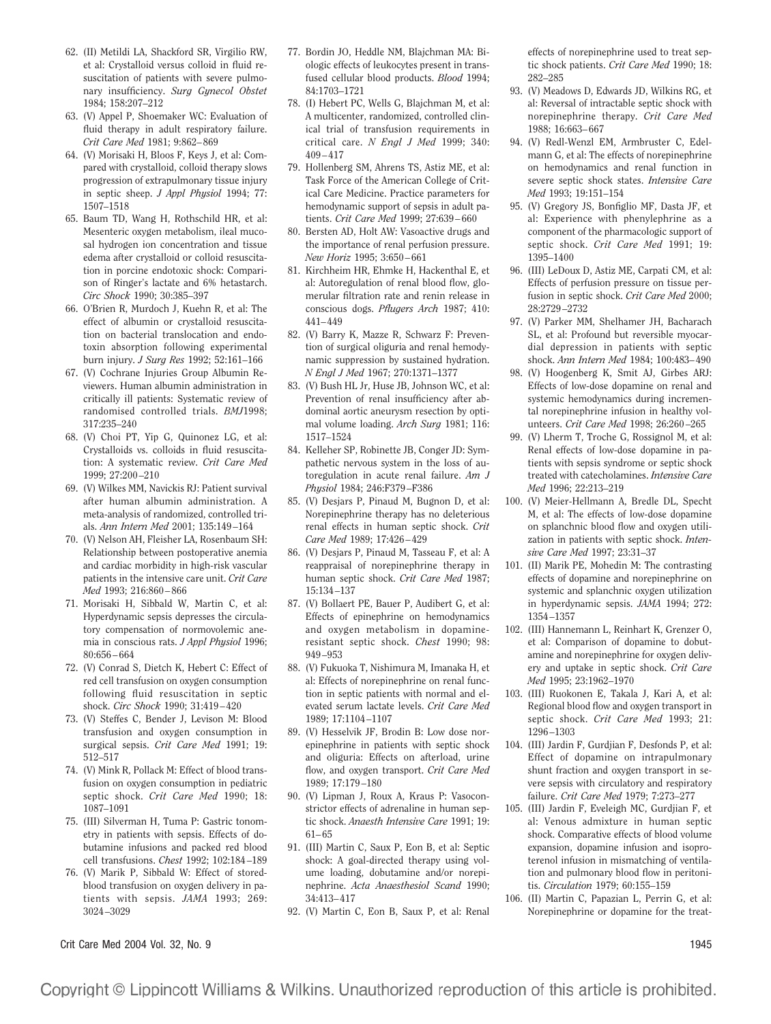- 62. (II) Metildi LA, Shackford SR, Virgilio RW, et al: Crystalloid versus colloid in fluid resuscitation of patients with severe pulmonary insufficiency. *Surg Gynecol Obstet* 1984; 158:207–212
- 63. (V) Appel P, Shoemaker WC: Evaluation of fluid therapy in adult respiratory failure. *Crit Care Med* 1981; 9:862–869
- 64. (V) Morisaki H, Bloos F, Keys J, et al: Compared with crystalloid, colloid therapy slows progression of extrapulmonary tissue injury in septic sheep. *J Appl Physiol* 1994; 77: 1507–1518
- 65. Baum TD, Wang H, Rothschild HR, et al: Mesenteric oxygen metabolism, ileal mucosal hydrogen ion concentration and tissue edema after crystalloid or colloid resuscitation in porcine endotoxic shock: Comparison of Ringer's lactate and 6% hetastarch. *Circ Shock* 1990; 30:385–397
- 66. O'Brien R, Murdoch J, Kuehn R, et al: The effect of albumin or crystalloid resuscitation on bacterial translocation and endotoxin absorption following experimental burn injury. *J Surg Res* 1992; 52:161–166
- 67. (V) Cochrane Injuries Group Albumin Reviewers. Human albumin administration in critically ill patients: Systematic review of randomised controlled trials. *BMJ*1998; 317:235–240
- 68. (V) Choi PT, Yip G, Quinonez LG, et al: Crystalloids vs. colloids in fluid resuscitation: A systematic review. *Crit Care Med* 1999; 27:200–210
- 69. (V) Wilkes MM, Navickis RJ: Patient survival after human albumin administration. A meta-analysis of randomized, controlled trials. *Ann Intern Med* 2001; 135:149–164
- 70. (V) Nelson AH, Fleisher LA, Rosenbaum SH: Relationship between postoperative anemia and cardiac morbidity in high-risk vascular patients in the intensive care unit. *Crit Care Med* 1993; 216:860–866
- 71. Morisaki H, Sibbald W, Martin C, et al: Hyperdynamic sepsis depresses the circulatory compensation of normovolemic anemia in conscious rats. *J Appl Physiol* 1996; 80:656–664
- 72. (V) Conrad S, Dietch K, Hebert C: Effect of red cell transfusion on oxygen consumption following fluid resuscitation in septic shock. *Circ Shock* 1990; 31:419–420
- 73. (V) Steffes C, Bender J, Levison M: Blood transfusion and oxygen consumption in surgical sepsis. *Crit Care Med* 1991; 19: 512–517
- 74. (V) Mink R, Pollack M: Effect of blood transfusion on oxygen consumption in pediatric septic shock. *Crit Care Med* 1990; 18: 1087–1091
- 75. (III) Silverman H, Tuma P: Gastric tonometry in patients with sepsis. Effects of dobutamine infusions and packed red blood cell transfusions. *Chest* 1992; 102:184–189
- 76. (V) Marik P, Sibbald W: Effect of storedblood transfusion on oxygen delivery in patients with sepsis. *JAMA* 1993; 269: 3024–3029
- 77. Bordin JO, Heddle NM, Blajchman MA: Biologic effects of leukocytes present in transfused cellular blood products. *Blood* 1994; 84:1703–1721
- 78. (I) Hebert PC, Wells G, Blajchman M, et al: A multicenter, randomized, controlled clinical trial of transfusion requirements in critical care. *N Engl J Med* 1999; 340: 409–417
- 79. Hollenberg SM, Ahrens TS, Astiz ME, et al: Task Force of the American College of Critical Care Medicine. Practice parameters for hemodynamic support of sepsis in adult patients. *Crit Care Med* 1999; 27:639–660
- 80. Bersten AD, Holt AW: Vasoactive drugs and the importance of renal perfusion pressure. *New Horiz* 1995; 3:650–661
- 81. Kirchheim HR, Ehmke H, Hackenthal E, et al: Autoregulation of renal blood flow, glomerular filtration rate and renin release in conscious dogs. *Pflugers Arch* 1987; 410: 441–449
- 82. (V) Barry K, Mazze R, Schwarz F: Prevention of surgical oliguria and renal hemodynamic suppression by sustained hydration. *N Engl J Med* 1967; 270:1371–1377
- 83. (V) Bush HL Jr, Huse JB, Johnson WC, et al: Prevention of renal insufficiency after abdominal aortic aneurysm resection by optimal volume loading. *Arch Surg* 1981; 116: 1517–1524
- 84. Kelleher SP, Robinette JB, Conger JD: Sympathetic nervous system in the loss of autoregulation in acute renal failure. *Am J Physiol* 1984; 246:F379–F386
- 85. (V) Desjars P, Pinaud M, Bugnon D, et al: Norepinephrine therapy has no deleterious renal effects in human septic shock. *Crit Care Med* 1989; 17:426–429
- 86. (V) Desjars P, Pinaud M, Tasseau F, et al: A reappraisal of norepinephrine therapy in human septic shock. *Crit Care Med* 1987; 15:134–137
- 87. (V) Bollaert PE, Bauer P, Audibert G, et al: Effects of epinephrine on hemodynamics and oxygen metabolism in dopamineresistant septic shock. *Chest* 1990; 98: 949–953
- 88. (V) Fukuoka T, Nishimura M, Imanaka H, et al: Effects of norepinephrine on renal function in septic patients with normal and elevated serum lactate levels. *Crit Care Med* 1989; 17:1104–1107
- 89. (V) Hesselvik JF, Brodin B: Low dose norepinephrine in patients with septic shock and oliguria: Effects on afterload, urine flow, and oxygen transport. *Crit Care Med* 1989; 17:179–180
- 90. (V) Lipman J, Roux A, Kraus P: Vasoconstrictor effects of adrenaline in human septic shock. *Anaesth Intensive Care* 1991; 19: 61–65
- 91. (III) Martin C, Saux P, Eon B, et al: Septic shock: A goal-directed therapy using volume loading, dobutamine and/or norepinephrine. *Acta Anaesthesiol Scand* 1990; 34:413–417
- 92. (V) Martin C, Eon B, Saux P, et al: Renal

effects of norepinephrine used to treat septic shock patients. *Crit Care Med* 1990; 18: 282–285

- 93. (V) Meadows D, Edwards JD, Wilkins RG, et al: Reversal of intractable septic shock with norepinephrine therapy. *Crit Care Med* 1988; 16:663–667
- 94. (V) Redl-Wenzl EM, Armbruster C, Edelmann G, et al: The effects of norepinephrine on hemodynamics and renal function in severe septic shock states. *Intensive Care Med* 1993; 19:151–154
- 95. (V) Gregory JS, Bonfiglio MF, Dasta JF, et al: Experience with phenylephrine as a component of the pharmacologic support of septic shock. *Crit Care Med* 1991; 19: 1395–1400
- 96. (III) LeDoux D, Astiz ME, Carpati CM, et al: Effects of perfusion pressure on tissue perfusion in septic shock. *Crit Care Med* 2000; 28:2729–2732
- 97. (V) Parker MM, Shelhamer JH, Bacharach SL, et al: Profound but reversible myocardial depression in patients with septic shock. *Ann Intern Med* 1984; 100:483–490
- 98. (V) Hoogenberg K, Smit AJ, Girbes ARJ: Effects of low-dose dopamine on renal and systemic hemodynamics during incremental norepinephrine infusion in healthy volunteers. *Crit Care Med* 1998; 26:260–265
- 99. (V) Lherm T, Troche G, Rossignol M, et al: Renal effects of low-dose dopamine in patients with sepsis syndrome or septic shock treated with catecholamines. *Intensive Care Med* 1996; 22:213–219
- 100. (V) Meier-Hellmann A, Bredle DL, Specht M, et al: The effects of low-dose dopamine on splanchnic blood flow and oxygen utilization in patients with septic shock. *Intensive Care Med* 1997; 23:31–37
- 101. (II) Marik PE, Mohedin M: The contrasting effects of dopamine and norepinephrine on systemic and splanchnic oxygen utilization in hyperdynamic sepsis. *JAMA* 1994; 272: 1354–1357
- 102. (III) Hannemann L, Reinhart K, Grenzer O, et al: Comparison of dopamine to dobutamine and norepinephrine for oxygen delivery and uptake in septic shock. *Crit Care Med* 1995; 23:1962–1970
- 103. (III) Ruokonen E, Takala J, Kari A, et al: Regional blood flow and oxygen transport in septic shock. *Crit Care Med* 1993; 21: 1296–1303
- 104. (III) Jardin F, Gurdjian F, Desfonds P, et al: Effect of dopamine on intrapulmonary shunt fraction and oxygen transport in severe sepsis with circulatory and respiratory failure. *Crit Care Med* 1979; 7:273–277
- 105. (III) Jardin F, Eveleigh MC, Gurdjian F, et al: Venous admixture in human septic shock. Comparative effects of blood volume expansion, dopamine infusion and isoproterenol infusion in mismatching of ventilation and pulmonary blood flow in peritonitis. *Circulation* 1979; 60:155–159
- 106. (II) Martin C, Papazian L, Perrin G, et al: Norepinephrine or dopamine for the treat-

Crit Care Med 2004 Vol. 32, No. 9 1945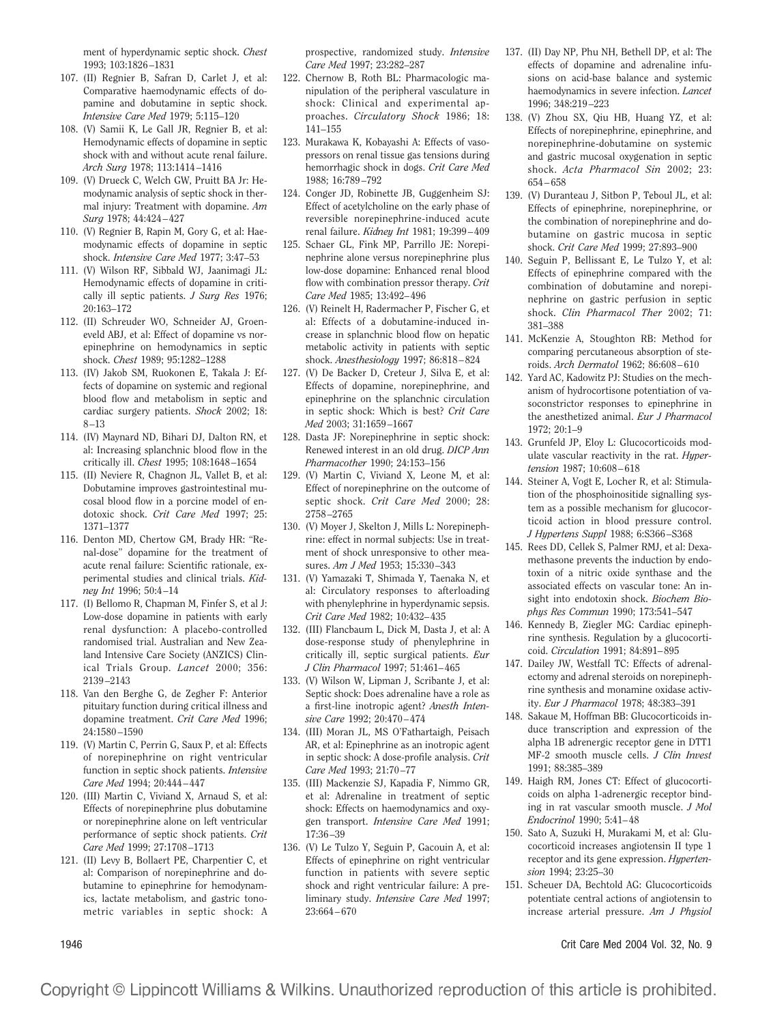ment of hyperdynamic septic shock. *Chest* 1993; 103:1826–1831

- 107. (II) Regnier B, Safran D, Carlet J, et al: Comparative haemodynamic effects of dopamine and dobutamine in septic shock. *Intensive Care Med* 1979; 5:115–120
- 108. (V) Samii K, Le Gall JR, Regnier B, et al: Hemodynamic effects of dopamine in septic shock with and without acute renal failure. *Arch Surg* 1978; 113:1414–1416
- 109. (V) Drueck C, Welch GW, Pruitt BA Jr: Hemodynamic analysis of septic shock in thermal injury: Treatment with dopamine. *Am Surg* 1978; 44:424–427
- 110. (V) Regnier B, Rapin M, Gory G, et al: Haemodynamic effects of dopamine in septic shock. *Intensive Care Med* 1977; 3:47–53
- 111. (V) Wilson RF, Sibbald WJ, Jaanimagi JL: Hemodynamic effects of dopamine in critically ill septic patients. *J Surg Res* 1976; 20:163–172
- 112. (II) Schreuder WO, Schneider AJ, Groeneveld ABJ, et al: Effect of dopamine vs norepinephrine on hemodynamics in septic shock. *Chest* 1989; 95:1282–1288
- 113. (IV) Jakob SM, Ruokonen E, Takala J: Effects of dopamine on systemic and regional blood flow and metabolism in septic and cardiac surgery patients. *Shock* 2002; 18: 8–13
- 114. (IV) Maynard ND, Bihari DJ, Dalton RN, et al: Increasing splanchnic blood flow in the critically ill. *Chest* 1995; 108:1648–1654
- 115. (II) Neviere R, Chagnon JL, Vallet B, et al: Dobutamine improves gastrointestinal mucosal blood flow in a porcine model of endotoxic shock. *Crit Care Med* 1997; 25: 1371–1377
- 116. Denton MD, Chertow GM, Brady HR: "Renal-dose" dopamine for the treatment of acute renal failure: Scientific rationale, experimental studies and clinical trials. *Kidney Int* 1996; 50:4–14
- 117. (I) Bellomo R, Chapman M, Finfer S, et al J: Low-dose dopamine in patients with early renal dysfunction: A placebo-controlled randomised trial. Australian and New Zealand Intensive Care Society (ANZICS) Clinical Trials Group. *Lancet* 2000; 356: 2139–2143
- 118. Van den Berghe G, de Zegher F: Anterior pituitary function during critical illness and dopamine treatment. *Crit Care Med* 1996; 24:1580–1590
- 119. (V) Martin C, Perrin G, Saux P, et al: Effects of norepinephrine on right ventricular function in septic shock patients. *Intensive Care Med* 1994; 20:444–447
- 120. (III) Martin C, Viviand X, Arnaud S, et al: Effects of norepinephrine plus dobutamine or norepinephrine alone on left ventricular performance of septic shock patients. *Crit Care Med* 1999; 27:1708–1713
- 121. (II) Levy B, Bollaert PE, Charpentier C, et al: Comparison of norepinephrine and dobutamine to epinephrine for hemodynamics, lactate metabolism, and gastric tonometric variables in septic shock: A

prospective, randomized study. *Intensive Care Med* 1997; 23:282–287

- 122. Chernow B, Roth BL: Pharmacologic manipulation of the peripheral vasculature in shock: Clinical and experimental approaches. *Circulatory Shock* 1986; 18: 141–155
- 123. Murakawa K, Kobayashi A: Effects of vasopressors on renal tissue gas tensions during hemorrhagic shock in dogs. *Crit Care Med* 1988; 16:789–792
- 124. Conger JD, Robinette JB, Guggenheim SJ: Effect of acetylcholine on the early phase of reversible norepinephrine-induced acute renal failure. *Kidney Int* 1981; 19:399–409
- 125. Schaer GL, Fink MP, Parrillo JE: Norepinephrine alone versus norepinephrine plus low-dose dopamine: Enhanced renal blood flow with combination pressor therapy. *Crit Care Med* 1985; 13:492–496
- 126. (V) Reinelt H, Radermacher P, Fischer G, et al: Effects of a dobutamine-induced increase in splanchnic blood flow on hepatic metabolic activity in patients with septic shock. *Anesthesiology* 1997; 86:818–824
- 127. (V) De Backer D, Creteur J, Silva E, et al: Effects of dopamine, norepinephrine, and epinephrine on the splanchnic circulation in septic shock: Which is best? *Crit Care Med* 2003; 31:1659–1667
- 128. Dasta JF: Norepinephrine in septic shock: Renewed interest in an old drug. *DICP Ann Pharmacother* 1990; 24:153–156
- 129. (V) Martin C, Viviand X, Leone M, et al: Effect of norepinephrine on the outcome of septic shock. *Crit Care Med* 2000; 28: 2758–2765
- 130. (V) Moyer J, Skelton J, Mills L: Norepinephrine: effect in normal subjects: Use in treatment of shock unresponsive to other measures. *Am J Med* 1953; 15:330–343
- 131. (V) Yamazaki T, Shimada Y, Taenaka N, et al: Circulatory responses to afterloading with phenylephrine in hyperdynamic sepsis. *Crit Care Med* 1982; 10:432–435
- 132. (III) Flancbaum L, Dick M, Dasta J, et al: A dose-response study of phenylephrine in critically ill, septic surgical patients. *Eur J Clin Pharmacol* 1997; 51:461–465
- 133. (V) Wilson W, Lipman J, Scribante J, et al: Septic shock: Does adrenaline have a role as a first-line inotropic agent? *Anesth Intensive Care* 1992; 20:470–474
- 134. (III) Moran JL, MS O'Fathartaigh, Peisach AR, et al: Epinephrine as an inotropic agent in septic shock: A dose-profile analysis. *Crit Care Med* 1993; 21:70–77
- 135. (III) Mackenzie SJ, Kapadia F, Nimmo GR, et al: Adrenaline in treatment of septic shock: Effects on haemodynamics and oxygen transport. *Intensive Care Med* 1991; 17:36–39
- 136. (V) Le Tulzo Y, Seguin P, Gacouin A, et al: Effects of epinephrine on right ventricular function in patients with severe septic shock and right ventricular failure: A preliminary study. *Intensive Care Med* 1997; 23:664–670
- 137. (II) Day NP, Phu NH, Bethell DP, et al: The effects of dopamine and adrenaline infusions on acid-base balance and systemic haemodynamics in severe infection. *Lancet* 1996; 348:219–223
- 138. (V) Zhou SX, Qiu HB, Huang YZ, et al: Effects of norepinephrine, epinephrine, and norepinephrine-dobutamine on systemic and gastric mucosal oxygenation in septic shock. *Acta Pharmacol Sin* 2002; 23: 654–658
- 139. (V) Duranteau J, Sitbon P, Teboul JL, et al: Effects of epinephrine, norepinephrine, or the combination of norepinephrine and dobutamine on gastric mucosa in septic shock. *Crit Care Med* 1999; 27:893–900
- 140. Seguin P, Bellissant E, Le Tulzo Y, et al: Effects of epinephrine compared with the combination of dobutamine and norepinephrine on gastric perfusion in septic shock. *Clin Pharmacol Ther* 2002; 71: 381–388
- 141. McKenzie A, Stoughton RB: Method for comparing percutaneous absorption of steroids. *Arch Dermatol* 1962; 86:608–610
- 142. Yard AC, Kadowitz PJ: Studies on the mechanism of hydrocortisone potentiation of vasoconstrictor responses to epinephrine in the anesthetized animal. *Eur J Pharmacol* 1972; 20:1–9
- 143. Grunfeld JP, Eloy L: Glucocorticoids modulate vascular reactivity in the rat. *Hypertension* 1987; 10:608–618
- 144. Steiner A, Vogt E, Locher R, et al: Stimulation of the phosphoinositide signalling system as a possible mechanism for glucocorticoid action in blood pressure control. *J Hypertens Suppl* 1988; 6:S366–S368
- 145. Rees DD, Cellek S, Palmer RMJ, et al: Dexamethasone prevents the induction by endotoxin of a nitric oxide synthase and the associated effects on vascular tone: An insight into endotoxin shock. *Biochem Biophys Res Commun* 1990; 173:541–547
- 146. Kennedy B, Ziegler MG: Cardiac epinephrine synthesis. Regulation by a glucocorticoid. *Circulation* 1991; 84:891–895
- 147. Dailey JW, Westfall TC: Effects of adrenalectomy and adrenal steroids on norepinephrine synthesis and monamine oxidase activity. *Eur J Pharmacol* 1978; 48:383–391
- 148. Sakaue M, Hoffman BB: Glucocorticoids induce transcription and expression of the alpha 1B adrenergic receptor gene in DTT1 MF-2 smooth muscle cells. *J Clin Invest* 1991; 88:385–389
- 149. Haigh RM, Jones CT: Effect of glucocorticoids on alpha 1-adrenergic receptor binding in rat vascular smooth muscle. *J Mol Endocrinol* 1990; 5:41–48
- 150. Sato A, Suzuki H, Murakami M, et al: Glucocorticoid increases angiotensin II type 1 receptor and its gene expression. *Hypertension* 1994; 23:25–30
- 151. Scheuer DA, Bechtold AG: Glucocorticoids potentiate central actions of angiotensin to increase arterial pressure. *Am J Physiol*

1946 Crit Care Med 2004 Vol. 32, No. 9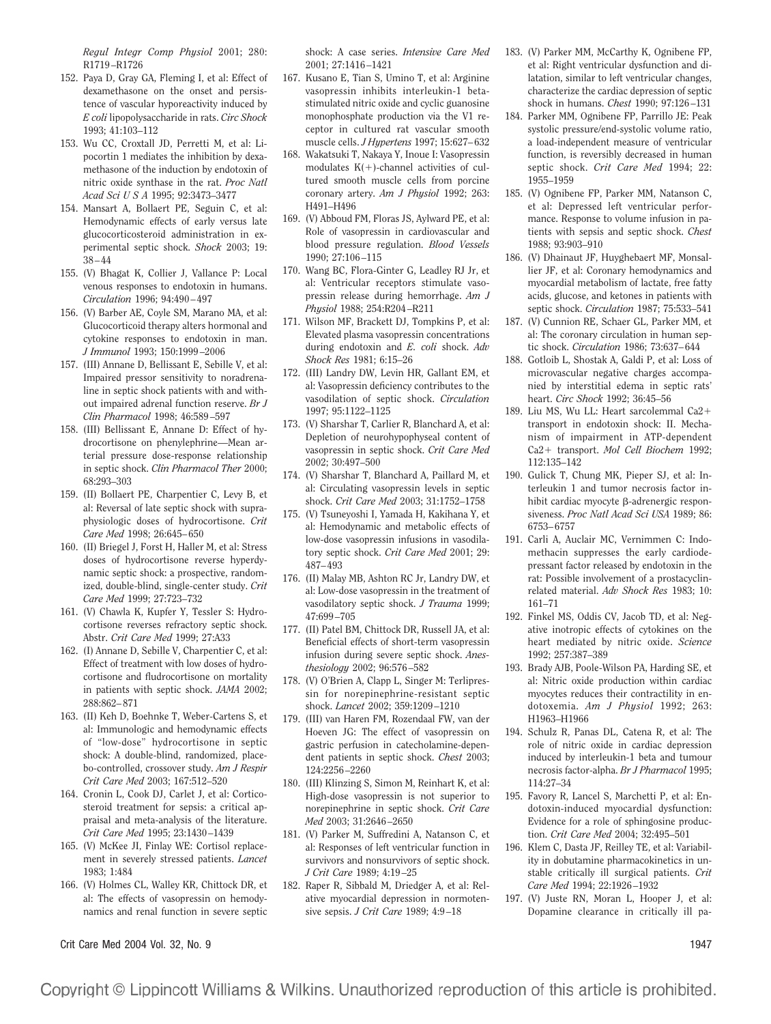*Regul Integr Comp Physiol* 2001; 280: R1719–R1726

- 152. Paya D, Gray GA, Fleming I, et al: Effect of dexamethasone on the onset and persistence of vascular hyporeactivity induced by *E coli* lipopolysaccharide in rats. *Circ Shock* 1993; 41:103–112
- 153. Wu CC, Croxtall JD, Perretti M, et al: Lipocortin 1 mediates the inhibition by dexamethasone of the induction by endotoxin of nitric oxide synthase in the rat. *Proc Natl Acad SciUSA* 1995; 92:3473–3477
- 154. Mansart A, Bollaert PE, Seguin C, et al: Hemodynamic effects of early versus late glucocorticosteroid administration in experimental septic shock. *Shock* 2003; 19: 38–44
- 155. (V) Bhagat K, Collier J, Vallance P: Local venous responses to endotoxin in humans. *Circulation* 1996; 94:490–497
- 156. (V) Barber AE, Coyle SM, Marano MA, et al: Glucocorticoid therapy alters hormonal and cytokine responses to endotoxin in man. *J Immunol* 1993; 150:1999–2006
- 157. (III) Annane D, Bellissant E, Sebille V, et al: Impaired pressor sensitivity to noradrenaline in septic shock patients with and without impaired adrenal function reserve. *Br J Clin Pharmacol* 1998; 46:589–597
- 158. (III) Bellissant E, Annane D: Effect of hydrocortisone on phenylephrine—Mean arterial pressure dose-response relationship in septic shock. *Clin Pharmacol Ther* 2000; 68:293–303
- 159. (II) Bollaert PE, Charpentier C, Levy B, et al: Reversal of late septic shock with supraphysiologic doses of hydrocortisone. *Crit Care Med* 1998; 26:645–650
- 160. (II) Briegel J, Forst H, Haller M, et al: Stress doses of hydrocortisone reverse hyperdynamic septic shock: a prospective, randomized, double-blind, single-center study. *Crit Care Med* 1999; 27:723–732
- 161. (V) Chawla K, Kupfer Y, Tessler S: Hydrocortisone reverses refractory septic shock. Abstr. *Crit Care Med* 1999; 27:A33
- 162. (I) Annane D, Sebille V, Charpentier C, et al: Effect of treatment with low doses of hydrocortisone and fludrocortisone on mortality in patients with septic shock. *JAMA* 2002; 288:862–871
- 163. (II) Keh D, Boehnke T, Weber-Cartens S, et al: Immunologic and hemodynamic effects of "low-dose" hydrocortisone in septic shock: A double-blind, randomized, placebo-controlled, crossover study. *Am J Respir Crit Care Med* 2003; 167:512–520
- 164. Cronin L, Cook DJ, Carlet J, et al: Corticosteroid treatment for sepsis: a critical appraisal and meta-analysis of the literature. *Crit Care Med* 1995; 23:1430–1439
- 165. (V) McKee JI, Finlay WE: Cortisol replacement in severely stressed patients. *Lancet* 1983; 1:484
- 166. (V) Holmes CL, Walley KR, Chittock DR, et al: The effects of vasopressin on hemodynamics and renal function in severe septic

Crit Care Med 2004 Vol. 32, No. 9 1947

shock: A case series. *Intensive Care Med* 2001; 27:1416–1421

- 167. Kusano E, Tian S, Umino T, et al: Arginine vasopressin inhibits interleukin-1 betastimulated nitric oxide and cyclic guanosine monophosphate production via the V1 receptor in cultured rat vascular smooth muscle cells. *J Hypertens* 1997; 15:627–632
- 168. Wakatsuki T, Nakaya Y, Inoue I: Vasopressin modulates  $K(+)$ -channel activities of cultured smooth muscle cells from porcine coronary artery. *Am J Physiol* 1992; 263: H491–H496
- 169. (V) Abboud FM, Floras JS, Aylward PE, et al: Role of vasopressin in cardiovascular and blood pressure regulation. *Blood Vessels* 1990; 27:106–115
- 170. Wang BC, Flora-Ginter G, Leadley RJ Jr, et al: Ventricular receptors stimulate vasopressin release during hemorrhage. *Am J Physiol* 1988; 254:R204–R211
- 171. Wilson MF, Brackett DJ, Tompkins P, et al: Elevated plasma vasopressin concentrations during endotoxin and *E. coli* shock. *Adv Shock Res* 1981; 6:15–26
- 172. (III) Landry DW, Levin HR, Gallant EM, et al: Vasopressin deficiency contributes to the vasodilation of septic shock. *Circulation* 1997; 95:1122–1125
- 173. (V) Sharshar T, Carlier R, Blanchard A, et al: Depletion of neurohypophyseal content of vasopressin in septic shock. *Crit Care Med* 2002; 30:497–500
- 174. (V) Sharshar T, Blanchard A, Paillard M, et al: Circulating vasopressin levels in septic shock. *Crit Care Med* 2003; 31:1752–1758
- 175. (V) Tsuneyoshi I, Yamada H, Kakihana Y, et al: Hemodynamic and metabolic effects of low-dose vasopressin infusions in vasodilatory septic shock. *Crit Care Med* 2001; 29: 487–493
- 176. (II) Malay MB, Ashton RC Jr, Landry DW, et al: Low-dose vasopressin in the treatment of vasodilatory septic shock. *J Trauma* 1999; 47:699–705
- 177. (II) Patel BM, Chittock DR, Russell JA, et al: Beneficial effects of short-term vasopressin infusion during severe septic shock. *Anesthesiology* 2002; 96:576–582
- 178. (V) O'Brien A, Clapp L, Singer M: Terlipressin for norepinephrine-resistant septic shock. *Lancet* 2002; 359:1209–1210
- 179. (III) van Haren FM, Rozendaal FW, van der Hoeven JG: The effect of vasopressin on gastric perfusion in catecholamine-dependent patients in septic shock. *Chest* 2003; 124:2256–2260
- 180. (III) Klinzing S, Simon M, Reinhart K, et al: High-dose vasopressin is not superior to norepinephrine in septic shock. *Crit Care Med* 2003; 31:2646–2650
- 181. (V) Parker M, Suffredini A, Natanson C, et al: Responses of left ventricular function in survivors and nonsurvivors of septic shock. *J Crit Care* 1989; 4:19–25
- 182. Raper R, Sibbald M, Driedger A, et al: Relative myocardial depression in normotensive sepsis. *J Crit Care* 1989; 4:9–18
- 183. (V) Parker MM, McCarthy K, Ognibene FP, et al: Right ventricular dysfunction and dilatation, similar to left ventricular changes, characterize the cardiac depression of septic shock in humans. *Chest* 1990; 97:126–131
- 184. Parker MM, Ognibene FP, Parrillo JE: Peak systolic pressure/end-systolic volume ratio, a load-independent measure of ventricular function, is reversibly decreased in human septic shock. *Crit Care Med* 1994; 22: 1955–1959
- 185. (V) Ognibene FP, Parker MM, Natanson C, et al: Depressed left ventricular performance. Response to volume infusion in patients with sepsis and septic shock. *Chest* 1988; 93:903–910
- 186. (V) Dhainaut JF, Huyghebaert MF, Monsallier JF, et al: Coronary hemodynamics and myocardial metabolism of lactate, free fatty acids, glucose, and ketones in patients with septic shock. *Circulation* 1987; 75:533–541
- 187. (V) Cunnion RE, Schaer GL, Parker MM, et al: The coronary circulation in human septic shock. *Circulation* 1986; 73:637–644
- 188. Gotloib L, Shostak A, Galdi P, et al: Loss of microvascular negative charges accompanied by interstitial edema in septic rats' heart. *Circ Shock* 1992; 36:45–56
- 189. Liu MS, Wu LL: Heart sarcolemmal Ca2 transport in endotoxin shock: II. Mechanism of impairment in ATP-dependent Ca2+ transport. *Mol Cell Biochem* 1992; 112:135–142
- 190. Gulick T, Chung MK, Pieper SJ, et al: Interleukin 1 and tumor necrosis factor inhibit cardiac myocyte  $\beta$ -adrenergic responsiveness. *Proc Natl Acad Sci USA* 1989; 86: 6753–6757
- 191. Carli A, Auclair MC, Vernimmen C: Indomethacin suppresses the early cardiodepressant factor released by endotoxin in the rat: Possible involvement of a prostacyclinrelated material. *Adv Shock Res* 1983; 10: 161–71
- 192. Finkel MS, Oddis CV, Jacob TD, et al: Negative inotropic effects of cytokines on the heart mediated by nitric oxide. *Science* 1992; 257:387–389
- 193. Brady AJB, Poole-Wilson PA, Harding SE, et al: Nitric oxide production within cardiac myocytes reduces their contractility in endotoxemia. *Am J Physiol* 1992; 263: H1963–H1966
- 194. Schulz R, Panas DL, Catena R, et al: The role of nitric oxide in cardiac depression induced by interleukin-1 beta and tumour necrosis factor-alpha. *Br J Pharmacol* 1995; 114:27–34
- 195. Favory R, Lancel S, Marchetti P, et al: Endotoxin-induced myocardial dysfunction: Evidence for a role of sphingosine production. *Crit Care Med* 2004; 32:495–501
- 196. Klem C, Dasta JF, Reilley TE, et al: Variability in dobutamine pharmacokinetics in unstable critically ill surgical patients. *Crit Care Med* 1994; 22:1926–1932
- 197. (V) Juste RN, Moran L, Hooper J, et al: Dopamine clearance in critically ill pa-